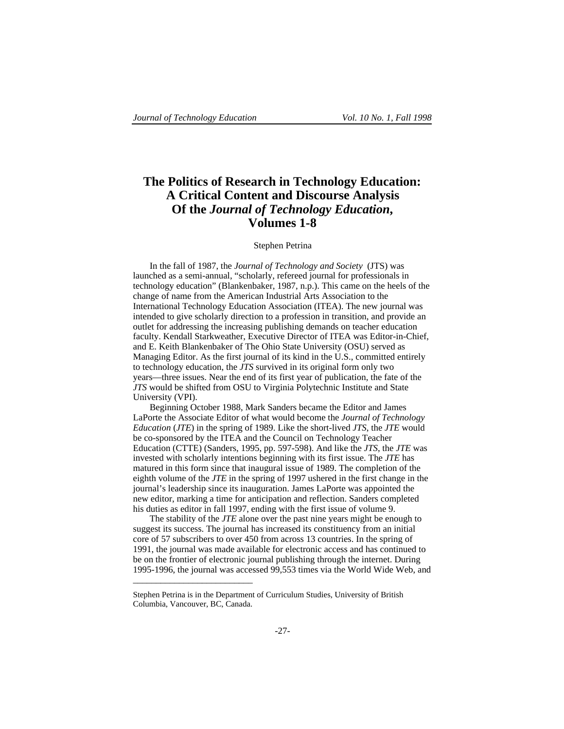# **The Politics of Research in Technology Education: A Critical Content and Discourse Analysis Of the** *Journal of Technology Education***, Volumes 1-8**

# Stephen Petrina

In the fall of 1987, the *Journal of Technology and Society* (JTS) was launched as a semi-annual, "scholarly, refereed journal for professionals in technology education" (Blankenbaker, 1987, n.p.). This came on the heels of the change of name from the American Industrial Arts Association to the International Technology Education Association (ITEA). The new journal was intended to give scholarly direction to a profession in transition, and provide an outlet for addressing the increasing publishing demands on teacher education faculty. Kendall Starkweather, Executive Director of ITEA was Editor-in-Chief, and E. Keith Blankenbaker of The Ohio State University (OSU) served as Managing Editor. As the first journal of its kind in the U.S., committed entirely to technology education, the *JTS* survived in its original form only two years—three issues. Near the end of its first year of publication, the fate of the *JTS* would be shifted from OSU to Virginia Polytechnic Institute and State University (VPI).

Beginning October 1988, Mark Sanders became the Editor and James LaPorte the Associate Editor of what would become the *Journal of Technology Education* (*JTE*) in the spring of 1989. Like the short-lived *JTS*, the *JTE* would be co-sponsored by the ITEA and the Council on Technology Teacher Education (CTTE) (Sanders, 1995, pp. 597-598). And like the *JTS*, the *JTE* was invested with scholarly intentions beginning with its first issue. The *JTE* has matured in this form since that inaugural issue of 1989. The completion of the eighth volume of the *JTE* in the spring of 1997 ushered in the first change in the journal's leadership since its inauguration. James LaPorte was appointed the new editor, marking a time for anticipation and reflection. Sanders completed his duties as editor in fall 1997, ending with the first issue of volume 9.

The stability of the *JTE* alone over the past nine years might be enough to suggest its success. The journal has increased its constituency from an initial core of 57 subscribers to over 450 from across 13 countries. In the spring of 1991, the journal was made available for electronic access and has continued to be on the frontier of electronic journal publishing through the internet. During 1995-1996, the journal was accessed 99,553 times via the World Wide Web, and

\_\_\_\_\_\_\_\_\_\_\_\_\_\_\_\_\_\_\_\_\_\_\_\_\_\_

Stephen Petrina is in the Department of Curriculum Studies, University of British Columbia, Vancouver, BC, Canada.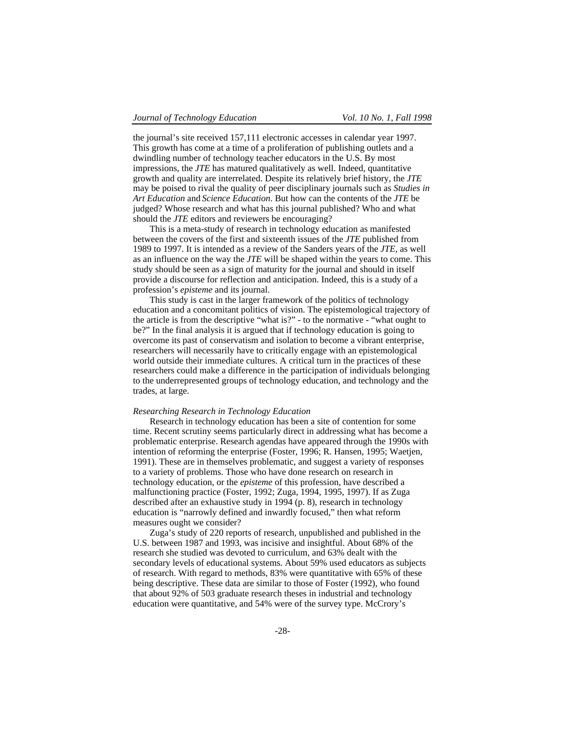the journal's site received 157,111 electronic accesses in calendar year 1997. This growth has come at a time of a proliferation of publishing outlets and a dwindling number of technology teacher educators in the U.S. By most impressions, the *JTE* has matured qualitatively as well. Indeed, quantitative growth and quality are interrelated. Despite its relatively brief history, the *JTE* may be poised to rival the quality of peer disciplinary journals such as *Studies in Art Education* and *Science Education*. But how can the contents of the *JTE* be judged? Whose research and what has this journal published? Who and what should the *JTE* editors and reviewers be encouraging?

This is a meta-study of research in technology education as manifested between the covers of the first and sixteenth issues of the *JTE* published from 1989 to 1997. It is intended as a review of the Sanders years of the *JTE*, as well as an influence on the way the *JTE* will be shaped within the years to come. This study should be seen as a sign of maturity for the journal and should in itself provide a discourse for reflection and anticipation. Indeed, this is a study of a profession's *episteme* and its journal.

This study is cast in the larger framework of the politics of technology education and a concomitant politics of vision. The epistemological trajectory of the article is from the descriptive "what is?" - to the normative - "what ought to be?" In the final analysis it is argued that if technology education is going to overcome its past of conservatism and isolation to become a vibrant enterprise, researchers will necessarily have to critically engage with an epistemological world outside their immediate cultures. A critical turn in the practices of these researchers could make a difference in the participation of individuals belonging to the underrepresented groups of technology education, and technology and the trades, at large.

### *Researching Research in Technology Education*

Research in technology education has been a site of contention for some time. Recent scrutiny seems particularly direct in addressing what has become a problematic enterprise. Research agendas have appeared through the 1990s with intention of reforming the enterprise (Foster, 1996; R. Hansen, 1995; Waetjen, 1991). These are in themselves problematic, and suggest a variety of responses to a variety of problems. Those who have done research on research in technology education, or the *episteme* of this profession, have described a malfunctioning practice (Foster, 1992; Zuga, 1994, 1995, 1997). If as Zuga described after an exhaustive study in 1994 (p. 8), research in technology education is "narrowly defined and inwardly focused," then what reform measures ought we consider?

Zuga's study of 220 reports of research, unpublished and published in the U.S. between 1987 and 1993, was incisive and insightful. About 68% of the research she studied was devoted to curriculum, and 63% dealt with the secondary levels of educational systems. About 59% used educators as subjects of research. With regard to methods, 83% were quantitative with 65% of these being descriptive. These data are similar to those of Foster (1992), who found that about 92% of 503 graduate research theses in industrial and technology education were quantitative, and 54% were of the survey type. McCrory's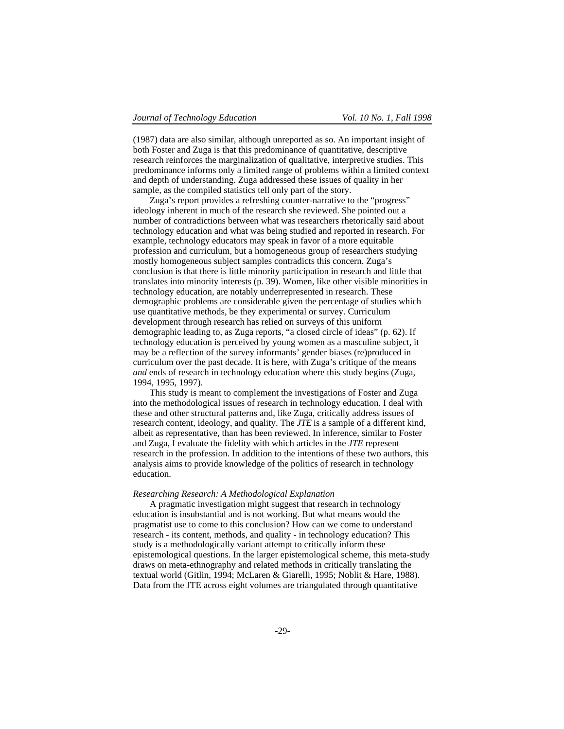(1987) data are also similar, although unreported as so. An important insight of both Foster and Zuga is that this predominance of quantitative, descriptive research reinforces the marginalization of qualitative, interpretive studies. This predominance informs only a limited range of problems within a limited context and depth of understanding. Zuga addressed these issues of quality in her sample, as the compiled statistics tell only part of the story.

Zuga's report provides a refreshing counter-narrative to the "progress" ideology inherent in much of the research she reviewed. She pointed out a number of contradictions between what was researchers rhetorically said about technology education and what was being studied and reported in research. For example, technology educators may speak in favor of a more equitable profession and curriculum, but a homogeneous group of researchers studying mostly homogeneous subject samples contradicts this concern. Zuga's conclusion is that there is little minority participation in research and little that translates into minority interests (p. 39). Women, like other visible minorities in technology education, are notably underrepresented in research. These demographic problems are considerable given the percentage of studies which use quantitative methods, be they experimental or survey. Curriculum development through research has relied on surveys of this uniform demographic leading to, as Zuga reports, "a closed circle of ideas" (p. 62). If technology education is perceived by young women as a masculine subject, it may be a reflection of the survey informants' gender biases (re)produced in curriculum over the past decade. It is here, with Zuga's critique of the means *and* ends of research in technology education where this study begins (Zuga, 1994, 1995, 1997).

This study is meant to complement the investigations of Foster and Zuga into the methodological issues of research in technology education. I deal with these and other structural patterns and, like Zuga, critically address issues of research content, ideology, and quality. The *JTE* is a sample of a different kind, albeit as representative, than has been reviewed. In inference, similar to Foster and Zuga, I evaluate the fidelity with which articles in the *JTE* represent research in the profession. In addition to the intentions of these two authors, this analysis aims to provide knowledge of the politics of research in technology education.

### *Researching Research: A Methodological Explanation*

A pragmatic investigation might suggest that research in technology education is insubstantial and is not working. But what means would the pragmatist use to come to this conclusion? How can we come to understand research - its content, methods, and quality - in technology education? This study is a methodologically variant attempt to critically inform these epistemological questions. In the larger epistemological scheme, this meta-study draws on meta-ethnography and related methods in critically translating the textual world (Gitlin, 1994; McLaren & Giarelli, 1995; Noblit & Hare, 1988). Data from the JTE across eight volumes are triangulated through quantitative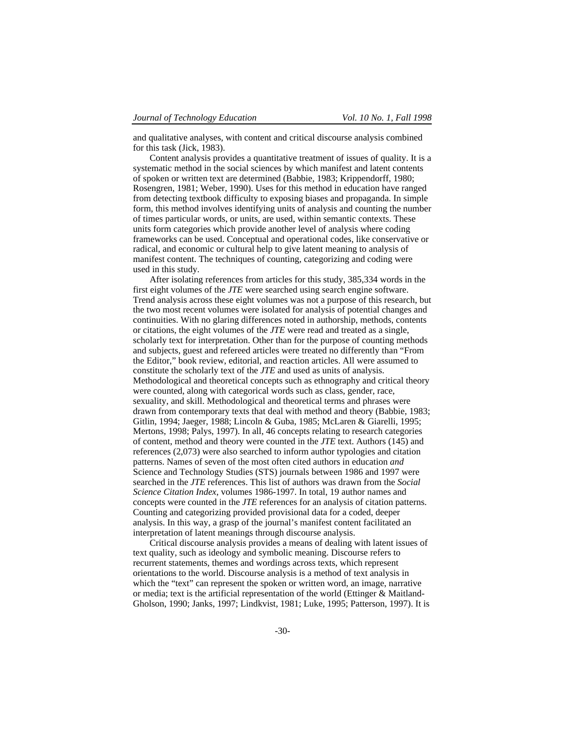and qualitative analyses, with content and critical discourse analysis combined for this task (Jick, 1983).

Content analysis provides a quantitative treatment of issues of quality. It is a systematic method in the social sciences by which manifest and latent contents of spoken or written text are determined (Babbie, 1983; Krippendorff, 1980; Rosengren, 1981; Weber, 1990). Uses for this method in education have ranged from detecting textbook difficulty to exposing biases and propaganda. In simple form, this method involves identifying units of analysis and counting the number of times particular words, or units, are used, within semantic contexts. These units form categories which provide another level of analysis where coding frameworks can be used. Conceptual and operational codes, like conservative or radical, and economic or cultural help to give latent meaning to analysis of manifest content. The techniques of counting, categorizing and coding were used in this study.

After isolating references from articles for this study, 385,334 words in the first eight volumes of the *JTE* were searched using search engine software. Trend analysis across these eight volumes was not a purpose of this research, but the two most recent volumes were isolated for analysis of potential changes and continuities. With no glaring differences noted in authorship, methods, contents or citations, the eight volumes of the *JTE* were read and treated as a single, scholarly text for interpretation. Other than for the purpose of counting methods and subjects, guest and refereed articles were treated no differently than "From the Editor," book review, editorial, and reaction articles. All were assumed to constitute the scholarly text of the *JTE* and used as units of analysis. Methodological and theoretical concepts such as ethnography and critical theory were counted, along with categorical words such as class, gender, race, sexuality, and skill. Methodological and theoretical terms and phrases were drawn from contemporary texts that deal with method and theory (Babbie, 1983; Gitlin, 1994; Jaeger, 1988; Lincoln & Guba, 1985; McLaren & Giarelli, 1995; Mertons, 1998; Palys, 1997). In all, 46 concepts relating to research categories of content, method and theory were counted in the *JTE* text. Authors (145) and references (2,073) were also searched to inform author typologies and citation patterns. Names of seven of the most often cited authors in education *and* Science and Technology Studies (STS) journals between 1986 and 1997 were searched in the *JTE* references. This list of authors was drawn from the *Social Science Citation Index*, volumes 1986-1997. In total, 19 author names and concepts were counted in the *JTE* references for an analysis of citation patterns. Counting and categorizing provided provisional data for a coded, deeper analysis. In this way, a grasp of the journal's manifest content facilitated an interpretation of latent meanings through discourse analysis.

Critical discourse analysis provides a means of dealing with latent issues of text quality, such as ideology and symbolic meaning. Discourse refers to recurrent statements, themes and wordings across texts, which represent orientations to the world. Discourse analysis is a method of text analysis in which the "text" can represent the spoken or written word, an image, narrative or media; text is the artificial representation of the world (Ettinger & Maitland-Gholson, 1990; Janks, 1997; Lindkvist, 1981; Luke, 1995; Patterson, 1997). It is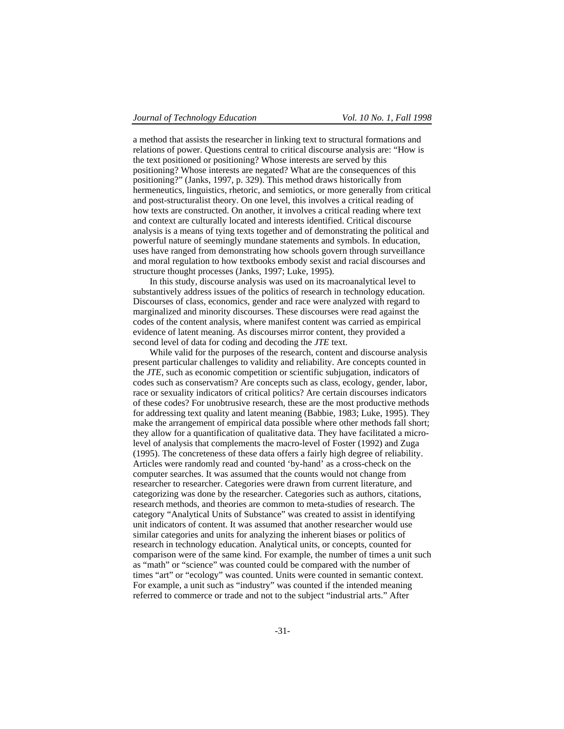a method that assists the researcher in linking text to structural formations and relations of power. Questions central to critical discourse analysis are: "How is the text positioned or positioning? Whose interests are served by this positioning? Whose interests are negated? What are the consequences of this positioning?" (Janks, 1997, p. 329). This method draws historically from hermeneutics, linguistics, rhetoric, and semiotics, or more generally from critical and post-structuralist theory. On one level, this involves a critical reading of how texts are constructed. On another, it involves a critical reading where text and context are culturally located and interests identified. Critical discourse analysis is a means of tying texts together and of demonstrating the political and powerful nature of seemingly mundane statements and symbols. In education, uses have ranged from demonstrating how schools govern through surveillance and moral regulation to how textbooks embody sexist and racial discourses and structure thought processes (Janks, 1997; Luke, 1995).

In this study, discourse analysis was used on its macroanalytical level to substantively address issues of the politics of research in technology education. Discourses of class, economics, gender and race were analyzed with regard to marginalized and minority discourses. These discourses were read against the codes of the content analysis, where manifest content was carried as empirical evidence of latent meaning. As discourses mirror content, they provided a second level of data for coding and decoding the *JTE* text.

While valid for the purposes of the research, content and discourse analysis present particular challenges to validity and reliability. Are concepts counted in the *JTE*, such as economic competition or scientific subjugation, indicators of codes such as conservatism? Are concepts such as class, ecology, gender, labor, race or sexuality indicators of critical politics? Are certain discourses indicators of these codes? For unobtrusive research, these are the most productive methods for addressing text quality and latent meaning (Babbie, 1983; Luke, 1995). They make the arrangement of empirical data possible where other methods fall short; they allow for a quantification of qualitative data. They have facilitated a microlevel of analysis that complements the macro-level of Foster (1992) and Zuga (1995). The concreteness of these data offers a fairly high degree of reliability. Articles were randomly read and counted 'by-hand' as a cross-check on the computer searches. It was assumed that the counts would not change from researcher to researcher. Categories were drawn from current literature, and categorizing was done by the researcher. Categories such as authors, citations, research methods, and theories are common to meta-studies of research. The category "Analytical Units of Substance" was created to assist in identifying unit indicators of content. It was assumed that another researcher would use similar categories and units for analyzing the inherent biases or politics of research in technology education. Analytical units, or concepts, counted for comparison were of the same kind. For example, the number of times a unit such as "math" or "science" was counted could be compared with the number of times "art" or "ecology" was counted. Units were counted in semantic context. For example, a unit such as "industry" was counted if the intended meaning referred to commerce or trade and not to the subject "industrial arts." After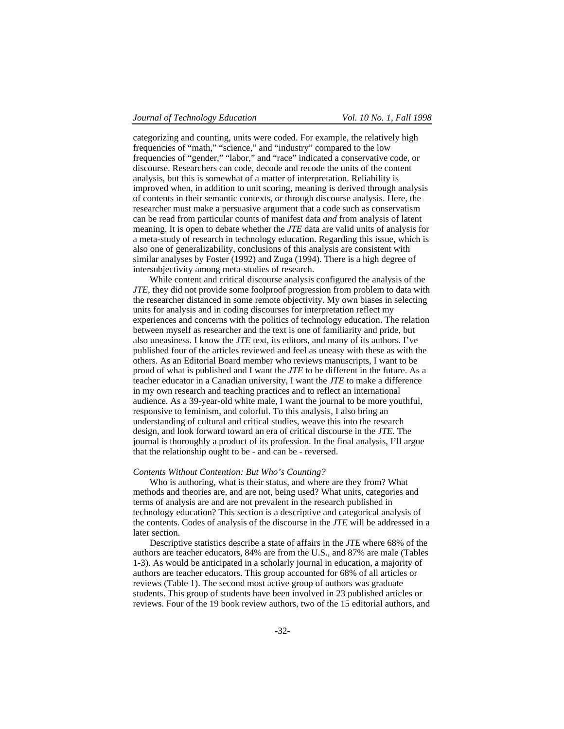categorizing and counting, units were coded. For example, the relatively high frequencies of "math," "science," and "industry" compared to the low frequencies of "gender," "labor," and "race" indicated a conservative code, or discourse. Researchers can code, decode and recode the units of the content analysis, but this is somewhat of a matter of interpretation. Reliability is improved when, in addition to unit scoring, meaning is derived through analysis of contents in their semantic contexts, or through discourse analysis. Here, the researcher must make a persuasive argument that a code such as conservatism can be read from particular counts of manifest data *and* from analysis of latent meaning. It is open to debate whether the *JTE* data are valid units of analysis for a meta-study of research in technology education. Regarding this issue, which is also one of generalizability, conclusions of this analysis are consistent with similar analyses by Foster (1992) and Zuga (1994). There is a high degree of intersubjectivity among meta-studies of research.

While content and critical discourse analysis configured the analysis of the *JTE*, they did not provide some foolproof progression from problem to data with the researcher distanced in some remote objectivity. My own biases in selecting units for analysis and in coding discourses for interpretation reflect my experiences and concerns with the politics of technology education. The relation between myself as researcher and the text is one of familiarity and pride, but also uneasiness. I know the *JTE* text, its editors, and many of its authors. I've published four of the articles reviewed and feel as uneasy with these as with the others. As an Editorial Board member who reviews manuscripts, I want to be proud of what is published and I want the *JTE* to be different in the future. As a teacher educator in a Canadian university, I want the *JTE* to make a difference in my own research and teaching practices and to reflect an international audience. As a 39-year-old white male, I want the journal to be more youthful, responsive to feminism, and colorful. To this analysis, I also bring an understanding of cultural and critical studies, weave this into the research design, and look forward toward an era of critical discourse in the *JTE*. The journal is thoroughly a product of its profession. In the final analysis, I'll argue that the relationship ought to be - and can be - reversed.

#### *Contents Without Contention: But Who's Counting?*

Who is authoring, what is their status, and where are they from? What methods and theories are, and are not, being used? What units, categories and terms of analysis are and are not prevalent in the research published in technology education? This section is a descriptive and categorical analysis of the contents. Codes of analysis of the discourse in the *JTE* will be addressed in a later section.

Descriptive statistics describe a state of affairs in the *JTE* where 68% of the authors are teacher educators, 84% are from the U.S., and 87% are male (Tables 1-3). As would be anticipated in a scholarly journal in education, a majority of authors are teacher educators. This group accounted for 68% of all articles or reviews (Table 1). The second most active group of authors was graduate students. This group of students have been involved in 23 published articles or reviews. Four of the 19 book review authors, two of the 15 editorial authors, and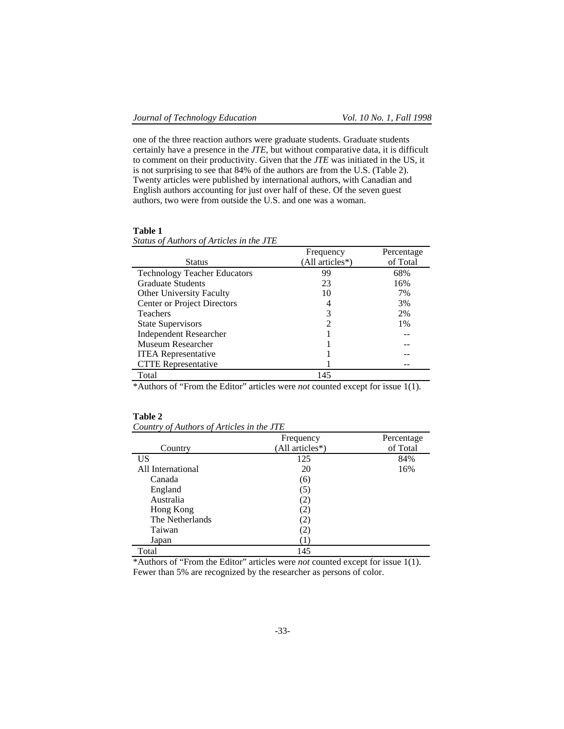one of the three reaction authors were graduate students. Graduate students certainly have a presence in the *JTE*, but without comparative data, it is difficult to comment on their productivity. Given that the *JTE* was initiated in the US, it is not surprising to see that 84% of the authors are from the U.S. (Table 2). Twenty articles were published by international authors, with Canadian and English authors accounting for just over half of these. Of the seven guest authors, two were from outside the U.S. and one was a woman.

## **Table 1**

|                                     | Frequency       | Percentage |
|-------------------------------------|-----------------|------------|
| <b>Status</b>                       | (All articles*) | of Total   |
| <b>Technology Teacher Educators</b> | 99              | 68%        |
| <b>Graduate Students</b>            | 23              | 16%        |
| <b>Other University Faculty</b>     | 10              | 7%         |
| <b>Center or Project Directors</b>  | 4               | 3%         |
| <b>Teachers</b>                     | 3               | 2%         |
| <b>State Supervisors</b>            | 2               | 1%         |
| <b>Independent Researcher</b>       |                 |            |
| Museum Researcher                   |                 |            |
| <b>ITEA</b> Representative          |                 |            |
| <b>CTTE</b> Representative          |                 |            |
| Total                               | 145             |            |

# *Status of Authors of Articles in the JTE*

\*Authors of "From the Editor" articles were *not* counted except for issue 1(1).

# **Table 2**

|                   | Frequency         | Percentage |
|-------------------|-------------------|------------|
| Country           | (All articles*)   | of Total   |
| US                | 125               | 84%        |
| All International | 20                | 16%        |
| Canada            | (6)               |            |
| England           | (5)               |            |
| Australia         | $\left( 2\right)$ |            |
| Hong Kong         | $\left( 2\right)$ |            |
| The Netherlands   | (2)               |            |
| Taiwan            | (2)               |            |
| Japan             |                   |            |
| Total             | 145               |            |

\*Authors of "From the Editor" articles were *not* counted except for issue 1(1). Fewer than 5% are recognized by the researcher as persons of color.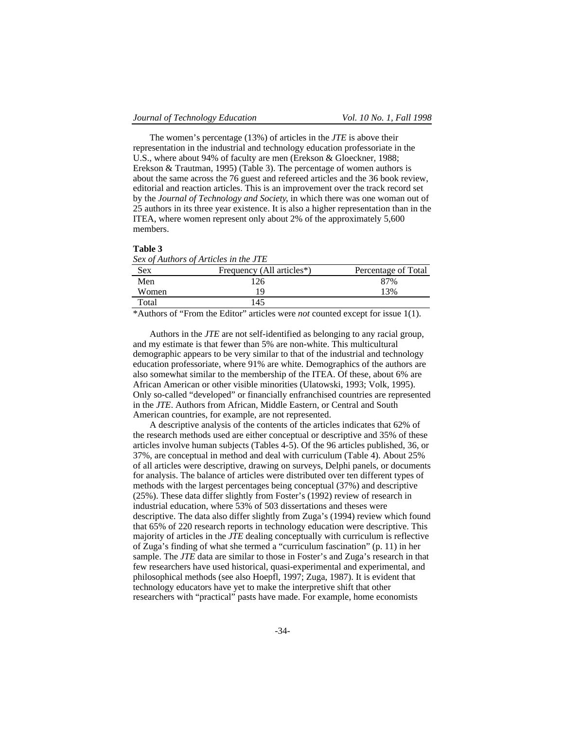The women's percentage (13%) of articles in the *JTE* is above their representation in the industrial and technology education professoriate in the U.S., where about 94% of faculty are men (Erekson & Gloeckner, 1988; Erekson & Trautman, 1995) (Table 3). The percentage of women authors is about the same across the 76 guest and refereed articles and the 36 book review, editorial and reaction articles. This is an improvement over the track record set by the *Journal of Technology and Society*, in which there was one woman out of 25 authors in its three year existence. It is also a higher representation than in the ITEA, where women represent only about 2% of the approximately 5,600 members.

### **Table 3**

|            | Sex of Authors of Articles in the JTE                                                                                                                                                                                                                                                                             |                     |
|------------|-------------------------------------------------------------------------------------------------------------------------------------------------------------------------------------------------------------------------------------------------------------------------------------------------------------------|---------------------|
| <b>Sex</b> | Frequency (All articles*)                                                                                                                                                                                                                                                                                         | Percentage of Total |
| Men        | 26                                                                                                                                                                                                                                                                                                                | 87%                 |
| Women      | 19                                                                                                                                                                                                                                                                                                                | 13%                 |
| Total      | 145                                                                                                                                                                                                                                                                                                               |                     |
|            | $\mathcal{L}$ and $\mathcal{L}$ and $\mathcal{L}$ and $\mathcal{L}$ and $\mathcal{L}$ and $\mathcal{L}$ and $\mathcal{L}$ and $\mathcal{L}$ and $\mathcal{L}$ and $\mathcal{L}$ and $\mathcal{L}$ and $\mathcal{L}$ and $\mathcal{L}$ and $\mathcal{L}$ and $\mathcal{L}$ and $\mathcal{L}$ and $\mathcal{L}$ and |                     |

\*Authors of "From the Editor" articles were *not* counted except for issue 1(1).

Authors in the *JTE* are not self-identified as belonging to any racial group, and my estimate is that fewer than 5% are non-white. This multicultural demographic appears to be very similar to that of the industrial and technology education professoriate, where 91% are white. Demographics of the authors are also somewhat similar to the membership of the ITEA. Of these, about 6% are African American or other visible minorities (Ulatowski, 1993; Volk, 1995). Only so-called "developed" or financially enfranchised countries are represented in the *JTE*. Authors from African, Middle Eastern, or Central and South American countries, for example, are not represented.

A descriptive analysis of the contents of the articles indicates that 62% of the research methods used are either conceptual or descriptive and 35% of these articles involve human subjects (Tables 4-5). Of the 96 articles published, 36, or 37%, are conceptual in method and deal with curriculum (Table 4). About 25% of all articles were descriptive, drawing on surveys, Delphi panels, or documents for analysis. The balance of articles were distributed over ten different types of methods with the largest percentages being conceptual (37%) and descriptive (25%). These data differ slightly from Foster's (1992) review of research in industrial education, where 53% of 503 dissertations and theses were descriptive. The data also differ slightly from Zuga's (1994) review which found that 65% of 220 research reports in technology education were descriptive. This majority of articles in the *JTE* dealing conceptually with curriculum is reflective of Zuga's finding of what she termed a "curriculum fascination" (p. 11) in her sample. The *JTE* data are similar to those in Foster's and Zuga's research in that few researchers have used historical, quasi-experimental and experimental, and philosophical methods (see also Hoepfl, 1997; Zuga, 1987). It is evident that technology educators have yet to make the interpretive shift that other researchers with "practical" pasts have made. For example, home economists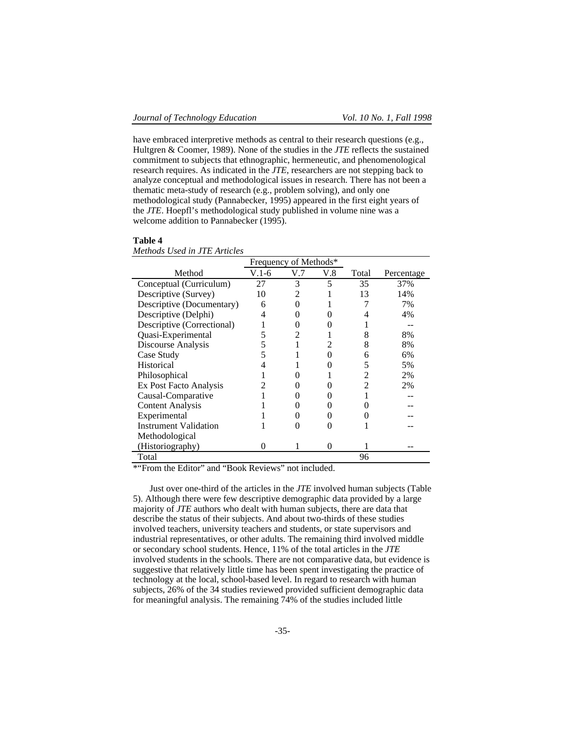*Methods Used in JTE Articles*

have embraced interpretive methods as central to their research questions (e.g., Hultgren & Coomer, 1989). None of the studies in the *JTE* reflects the sustained commitment to subjects that ethnographic, hermeneutic, and phenomenological research requires. As indicated in the *JTE*, researchers are not stepping back to analyze conceptual and methodological issues in research. There has not been a thematic meta-study of research (e.g., problem solving), and only one methodological study (Pannabecker, 1995) appeared in the first eight years of the *JTE*. Hoepfl's methodological study published in volume nine was a welcome addition to Pannabecker (1995).

| new was been used in 111.    | Frequency of Methods* |     |          |       |            |
|------------------------------|-----------------------|-----|----------|-------|------------|
| Method                       | $V.1-6$               | V.7 | V.8      | Total | Percentage |
| Conceptual (Curriculum)      | 27                    | 3   | 5        | 35    | 37%        |
| Descriptive (Survey)         | 10                    | 2   |          | 13    | 14%        |
| Descriptive (Documentary)    | 6                     |     |          |       | 7%         |
| Descriptive (Delphi)         | 4                     |     |          |       | 4%         |
| Descriptive (Correctional)   |                       |     |          |       |            |
| Quasi-Experimental           |                       |     |          | 8     | 8%         |
| Discourse Analysis           | 5                     |     |          | 8     | 8%         |
| Case Study                   |                       |     |          | 6     | 6%         |
| Historical                   |                       |     |          | 5     | 5%         |
| Philosophical                |                       |     |          | 2     | 2%         |
| Ex Post Facto Analysis       |                       |     |          | 2     | 2%         |
| Causal-Comparative           |                       |     |          |       |            |
| <b>Content Analysis</b>      |                       |     |          |       |            |
| Experimental                 |                       |     |          |       |            |
| <b>Instrument Validation</b> |                       |     |          |       |            |
| Methodological               |                       |     |          |       |            |
| (Historiography)             | $\mathbf{\Omega}$     |     | $\Omega$ |       |            |
| Total                        |                       |     |          | 96    |            |

### **Table 4**

\*"From the Editor" and "Book Reviews" not included.

Just over one-third of the articles in the *JTE* involved human subjects (Table 5). Although there were few descriptive demographic data provided by a large majority of *JTE* authors who dealt with human subjects, there are data that describe the status of their subjects. And about two-thirds of these studies involved teachers, university teachers and students, or state supervisors and industrial representatives, or other adults. The remaining third involved middle or secondary school students. Hence, 11% of the total articles in the *JTE* involved students in the schools. There are not comparative data, but evidence is suggestive that relatively little time has been spent investigating the practice of technology at the local, school-based level. In regard to research with human subjects, 26% of the 34 studies reviewed provided sufficient demographic data for meaningful analysis. The remaining 74% of the studies included little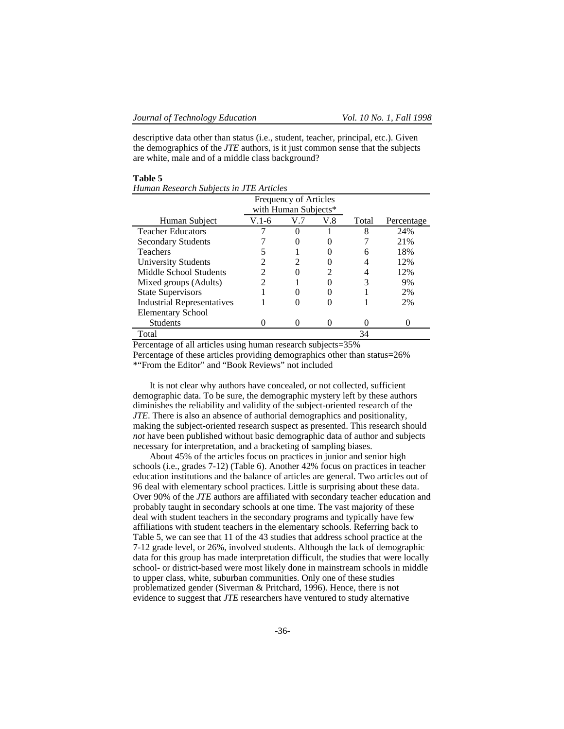descriptive data other than status (i.e., student, teacher, principal, etc.). Given the demographics of the *JTE* authors, is it just common sense that the subjects are white, male and of a middle class background?

|                                   |                             | <b>Frequency of Articles</b><br>with Human Subjects* |     |       |            |
|-----------------------------------|-----------------------------|------------------------------------------------------|-----|-------|------------|
| Human Subject                     | V.1-6                       | V.7                                                  | V.8 | Total | Percentage |
| <b>Teacher Educators</b>          |                             |                                                      |     | 8     | 24%        |
| <b>Secondary Students</b>         |                             |                                                      |     |       | 21%        |
| <b>Teachers</b>                   |                             |                                                      |     | 6     | 18%        |
| University Students               | $\mathcal{D}_{\mathcal{L}}$ |                                                      |     |       | 12%        |
| Middle School Students            |                             |                                                      |     |       | 12%        |
| Mixed groups (Adults)             | っ                           |                                                      |     |       | 9%         |
| <b>State Supervisors</b>          |                             |                                                      |     |       | 2%         |
| <b>Industrial Representatives</b> |                             |                                                      |     |       | 2%         |
| <b>Elementary School</b>          |                             |                                                      |     |       |            |
| <b>Students</b>                   |                             |                                                      |     |       |            |
| Total                             |                             |                                                      |     | 34    |            |

# **Table 5**

*Human Research Subjects in JTE Articles*

Percentage of all articles using human research subjects=35% Percentage of these articles providing demographics other than status=26% \*"From the Editor" and "Book Reviews" not included

It is not clear why authors have concealed, or not collected, sufficient demographic data. To be sure, the demographic mystery left by these authors diminishes the reliability and validity of the subject-oriented research of the *JTE*. There is also an absence of authorial demographics and positionality, making the subject-oriented research suspect as presented. This research should *not* have been published without basic demographic data of author and subjects necessary for interpretation, and a bracketing of sampling biases.

About 45% of the articles focus on practices in junior and senior high schools (i.e., grades 7-12) (Table 6). Another 42% focus on practices in teacher education institutions and the balance of articles are general. Two articles out of 96 deal with elementary school practices. Little is surprising about these data. Over 90% of the *JTE* authors are affiliated with secondary teacher education and probably taught in secondary schools at one time. The vast majority of these deal with student teachers in the secondary programs and typically have few affiliations with student teachers in the elementary schools. Referring back to Table 5, we can see that 11 of the 43 studies that address school practice at the 7-12 grade level, or 26%, involved students. Although the lack of demographic data for this group has made interpretation difficult, the studies that were locally school- or district-based were most likely done in mainstream schools in middle to upper class, white, suburban communities. Only one of these studies problematized gender (Siverman & Pritchard, 1996). Hence, there is not evidence to suggest that *JTE* researchers have ventured to study alternative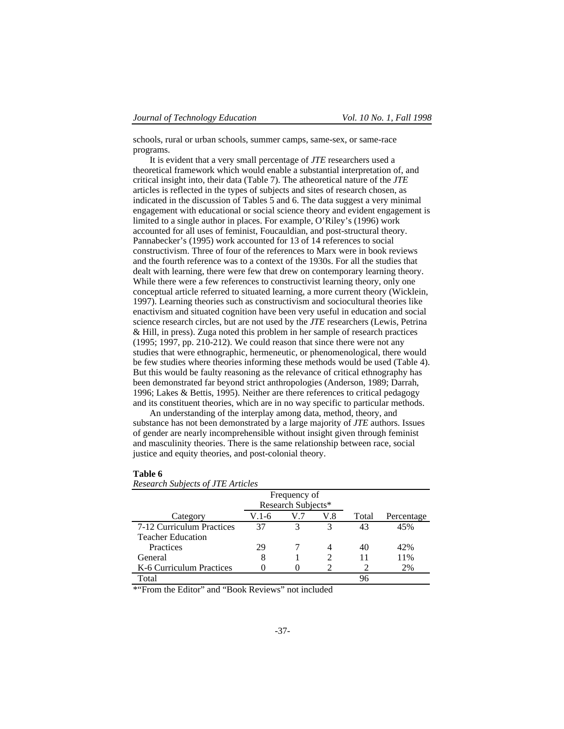schools, rural or urban schools, summer camps, same-sex, or same-race programs.

It is evident that a very small percentage of *JTE* researchers used a theoretical framework which would enable a substantial interpretation of, and critical insight into, their data (Table 7). The atheoretical nature of the *JTE* articles is reflected in the types of subjects and sites of research chosen, as indicated in the discussion of Tables 5 and 6. The data suggest a very minimal engagement with educational or social science theory and evident engagement is limited to a single author in places. For example, O'Riley's (1996) work accounted for all uses of feminist, Foucauldian, and post-structural theory. Pannabecker's (1995) work accounted for 13 of 14 references to social constructivism. Three of four of the references to Marx were in book reviews and the fourth reference was to a context of the 1930s. For all the studies that dealt with learning, there were few that drew on contemporary learning theory. While there were a few references to constructivist learning theory, only one conceptual article referred to situated learning, a more current theory (Wicklein, 1997). Learning theories such as constructivism and sociocultural theories like enactivism and situated cognition have been very useful in education and social science research circles, but are not used by the *JTE* researchers (Lewis, Petrina & Hill, in press). Zuga noted this problem in her sample of research practices (1995; 1997, pp. 210-212). We could reason that since there were not any studies that were ethnographic, hermeneutic, or phenomenological, there would be few studies where theories informing these methods would be used (Table 4). But this would be faulty reasoning as the relevance of critical ethnography has been demonstrated far beyond strict anthropologies (Anderson, 1989; Darrah, 1996; Lakes & Bettis, 1995). Neither are there references to critical pedagogy and its constituent theories, which are in no way specific to particular methods.

An understanding of the interplay among data, method, theory, and substance has not been demonstrated by a large majority of *JTE* authors. Issues of gender are nearly incomprehensible without insight given through feminist and masculinity theories. There is the same relationship between race, social justice and equity theories, and post-colonial theory.

| Research Subjects of JIE Articles |       |                    |     |       |            |
|-----------------------------------|-------|--------------------|-----|-------|------------|
|                                   |       | Frequency of       |     |       |            |
|                                   |       | Research Subjects* |     |       |            |
| Category                          | V.1-6 | V.7                | V.8 | Total | Percentage |
| 7-12 Curriculum Practices         | 37    | 3                  | 3   | 43    | 45%        |
| <b>Teacher Education</b>          |       |                    |     |       |            |
| Practices                         | 29    |                    |     | 40    | 42%        |
| General                           | 8     |                    |     | 11    | 11%        |
| K-6 Curriculum Practices          |       |                    |     |       | 2%         |
| Total                             |       |                    |     | 96    |            |

# **Table 6**

*Research Subjects of JTE Articles*

\*"From the Editor" and "Book Reviews" not included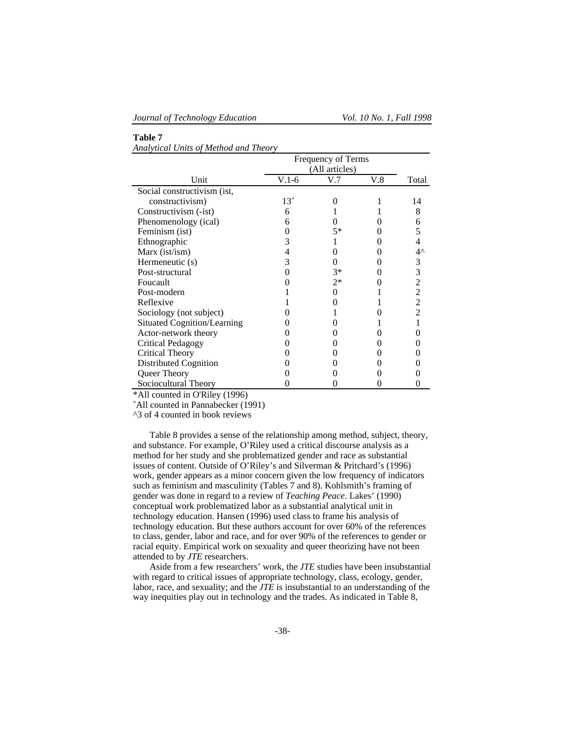**Table 7**

|                                    |            | Frequency of Terms |     |                |
|------------------------------------|------------|--------------------|-----|----------------|
|                                    |            | (All articles)     |     |                |
| Unit                               | $V.1-6$    | V.7                | V.8 | Total          |
| Social constructivism (ist,        |            |                    |     |                |
| constructivism)                    | $13^\circ$ |                    |     | 14             |
| Constructivism (-ist)              | 6          |                    |     | 8              |
| Phenomenology (ical)               | 6          |                    |     | 6              |
| Feminism (ist)                     |            | $5*$               |     | 5              |
| Ethnographic                       | 3          |                    |     |                |
| Marx (ist/ism)                     | 4          |                    |     | $4^{\wedge}$   |
| Hermeneutic (s)                    | 3          |                    |     |                |
| Post-structural                    |            | $3*$               |     | $\frac{3}{3}$  |
| Foucault                           |            | $2*$               |     | $\overline{c}$ |
| Post-modern                        |            |                    |     | $\frac{2}{2}$  |
| Reflexive                          |            |                    |     |                |
| Sociology (not subject)            |            |                    |     | $\overline{2}$ |
| <b>Situated Cognition/Learning</b> |            |                    |     |                |
| Actor-network theory               |            |                    |     |                |
| <b>Critical Pedagogy</b>           |            |                    |     |                |
| <b>Critical Theory</b>             |            |                    |     |                |
| Distributed Cognition              |            |                    |     |                |
| Queer Theory                       |            |                    |     |                |
| Sociocultural Theory               |            |                    |     |                |

# *Analytical Units of Method and Theory*

\*All counted in O'Riley (1996)

˚All counted in Pannabecker (1991)

^3 of 4 counted in book reviews

Table 8 provides a sense of the relationship among method, subject, theory, and substance. For example, O'Riley used a critical discourse analysis as a method for her study and she problematized gender and race as substantial issues of content. Outside of O'Riley's and Silverman & Pritchard's (1996) work, gender appears as a minor concern given the low frequency of indicators such as feminism and masculinity (Tables 7 and 8). Kohlsmith's framing of gender was done in regard to a review of *Teaching Peace*. Lakes' (1990) conceptual work problematized labor as a substantial analytical unit in technology education. Hansen (1996) used class to frame his analysis of technology education. But these authors account for over 60% of the references to class, gender, labor and race, and for over 90% of the references to gender or racial equity. Empirical work on sexuality and queer theorizing have not been attended to by *JTE* researchers.

Aside from a few researchers' work, the *JTE* studies have been insubstantial with regard to critical issues of appropriate technology, class, ecology, gender, labor, race, and sexuality; and the *JTE* is insubstantial to an understanding of the way inequities play out in technology and the trades. As indicated in Table 8,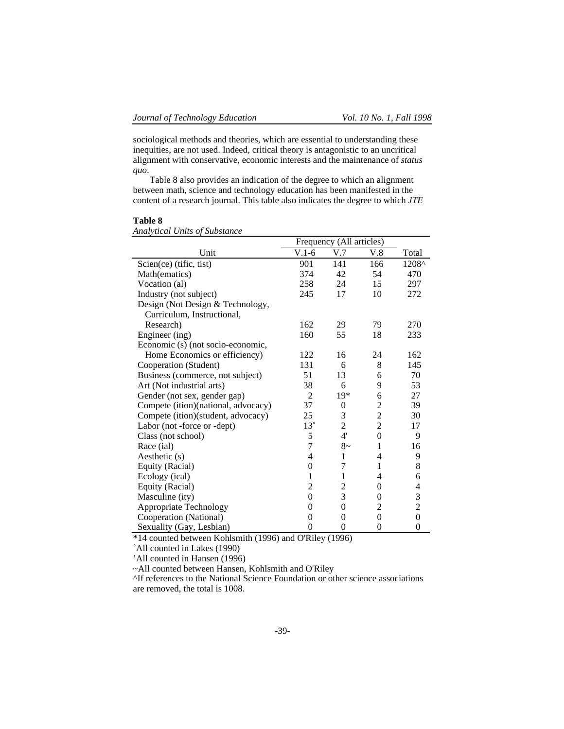sociological methods and theories, which are essential to understanding these inequities, are not used. Indeed, critical theory is antagonistic to an uncritical alignment with conservative, economic interests and the maintenance of *status quo*.

Table 8 also provides an indication of the degree to which an alignment between math, science and technology education has been manifested in the content of a research journal. This table also indicates the degree to which *JTE*

# **Table 8**

|                                     |                | Frequency (All articles) |                  |                                            |
|-------------------------------------|----------------|--------------------------|------------------|--------------------------------------------|
| Unit                                | $V.1-6$        | V.7                      | V.8              | Total                                      |
| Scien(ce) (tific, tist)             | 901            | 141                      | 166              | 1208^                                      |
| Math(ematics)                       | 374            | 42                       | 54               | 470                                        |
| Vocation (al)                       | 258            | 24                       | 15               | 297                                        |
| Industry (not subject)              | 245            | 17                       | 10               | 272                                        |
| Design (Not Design & Technology,    |                |                          |                  |                                            |
| Curriculum, Instructional,          |                |                          |                  |                                            |
| Research)                           | 162            | 29                       | 79               | 270                                        |
| Engineer (ing)                      | 160            | 55                       | 18               | 233                                        |
| Economic (s) (not socio-economic,   |                |                          |                  |                                            |
| Home Economics or efficiency)       | 122            | 16                       | 24               | 162                                        |
| Cooperation (Student)               | 131            | 6                        | 8                | 145                                        |
| Business (commerce, not subject)    | 51             | 13                       | 6                | 70                                         |
| Art (Not industrial arts)           | 38             | 6                        | 9                | 53                                         |
| Gender (not sex, gender gap)        | $\overline{2}$ | $19*$                    | 6                | 27                                         |
| Compete (ition)(national, advocacy) | 37             | 0                        | $\overline{c}$   | 39                                         |
| Compete (ition)(student, advocacy)  | 25             | 3                        | $\overline{c}$   | 30                                         |
| Labor (not -force or -dept)         | $13^{\circ}$   | $\overline{2}$           | $\overline{2}$   | 17                                         |
| Class (not school)                  | 5              | 4'                       | $\mathbf{0}$     | 9                                          |
| Race (ial)                          | $\overline{7}$ | $8-$                     | 1                | 16                                         |
| Aesthetic (s)                       | $\overline{4}$ | 1                        | $\overline{4}$   | 9                                          |
| Equity (Racial)                     | $\mathbf{0}$   | 7                        | $\mathbf{1}$     | 8                                          |
| Ecology (ical)                      | 1              | 1                        | 4                | 6                                          |
| Equity (Racial)                     | 2              | 2                        | 0                |                                            |
| Masculine (ity)                     | $\mathbf{0}$   | 3                        | $\theta$         | $\begin{array}{c} 4 \\ 3 \\ 2 \end{array}$ |
| <b>Appropriate Technology</b>       | 0              | $\boldsymbol{0}$         | 2                |                                            |
| Cooperation (National)              | $\theta$       | $\theta$                 | $\theta$         | $\boldsymbol{0}$                           |
| Sexuality (Gay, Lesbian)            | $\overline{0}$ | $\boldsymbol{0}$         | $\boldsymbol{0}$ | $\boldsymbol{0}$                           |

*Analytical Units of Substance*

\*14 counted between Kohlsmith (1996) and O'Riley (1996)

˚All counted in Lakes (1990)

'All counted in Hansen (1996)

~All counted between Hansen, Kohlsmith and O'Riley

^If references to the National Science Foundation or other science associations are removed, the total is 1008.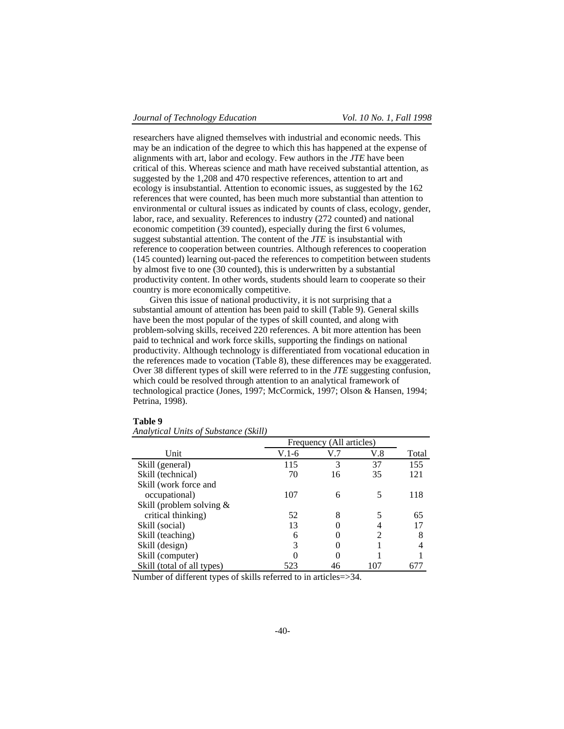researchers have aligned themselves with industrial and economic needs. This may be an indication of the degree to which this has happened at the expense of alignments with art, labor and ecology. Few authors in the *JTE* have been critical of this. Whereas science and math have received substantial attention, as suggested by the 1,208 and 470 respective references, attention to art and ecology is insubstantial. Attention to economic issues, as suggested by the 162 references that were counted, has been much more substantial than attention to environmental or cultural issues as indicated by counts of class, ecology, gender, labor, race, and sexuality. References to industry (272 counted) and national economic competition (39 counted), especially during the first 6 volumes, suggest substantial attention. The content of the *JTE* is insubstantial with reference to cooperation between countries. Although references to cooperation (145 counted) learning out-paced the references to competition between students by almost five to one (30 counted), this is underwritten by a substantial productivity content. In other words, students should learn to cooperate so their country is more economically competitive.

Given this issue of national productivity, it is not surprising that a substantial amount of attention has been paid to skill (Table 9). General skills have been the most popular of the types of skill counted, and along with problem-solving skills, received 220 references. A bit more attention has been paid to technical and work force skills, supporting the findings on national productivity. Although technology is differentiated from vocational education in the references made to vocation (Table 8), these differences may be exaggerated. Over 38 different types of skill were referred to in the *JTE* suggesting confusion, which could be resolved through attention to an analytical framework of technological practice (Jones, 1997; McCormick, 1997; Olson & Hansen, 1994; Petrina, 1998).

|                            |       | Frequency (All articles) |     |       |
|----------------------------|-------|--------------------------|-----|-------|
| Unit                       | V.1-6 | V.7                      | V.8 | Total |
| Skill (general)            | 115   | 3                        | 37  | 155   |
| Skill (technical)          | 70    | 16                       | 35  | 121   |
| Skill (work force and      |       |                          |     |       |
| occupational)              | 107   | 6                        |     | 118   |
| Skill (problem solving $&$ |       |                          |     |       |
| critical thinking)         | 52    | 8                        |     | 65    |
| Skill (social)             | 13    |                          |     | 17    |
| Skill (teaching)           | 6     |                          | 2   | 8     |
| Skill (design)             | 3     |                          |     | 4     |
| Skill (computer)           |       |                          |     |       |
| Skill (total of all types) | 523   | 46                       | 107 |       |

### **Table 9**

|  |  | Analytical Units of Substance (Skill) |  |  |
|--|--|---------------------------------------|--|--|
|--|--|---------------------------------------|--|--|

Number of different types of skills referred to in articles=>34.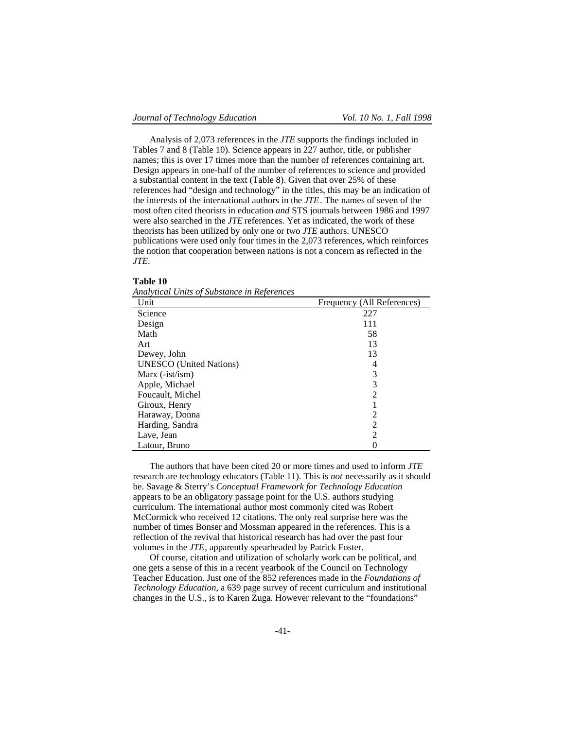Analysis of 2,073 references in the *JTE* supports the findings included in Tables 7 and 8 (Table 10). Science appears in 227 author, title, or publisher names; this is over 17 times more than the number of references containing art. Design appears in one-half of the number of references to science and provided a substantial content in the text (Table 8). Given that over 25% of these references had "design and technology" in the titles, this may be an indication of the interests of the international authors in the *JTE*. The names of seven of the most often cited theorists in education *and* STS journals between 1986 and 1997 were also searched in the *JTE* references. Yet as indicated, the work of these theorists has been utilized by only one or two *JTE* authors. UNESCO publications were used only four times in the 2,073 references, which reinforces the notion that cooperation between nations is not a concern as reflected in the *JTE*.

#### **Table 10**

*Analytical Units of Substance in References*

| Unit                           | Frequency (All References) |
|--------------------------------|----------------------------|
| Science                        | 227                        |
| Design                         | 111                        |
| Math                           | 58                         |
| Art                            | 13                         |
| Dewey, John                    | 13                         |
| <b>UNESCO</b> (United Nations) | 4                          |
| Marx $(-ist/ism)$              | 3                          |
| Apple, Michael                 | 3                          |
| Foucault, Michel               | 2                          |
| Giroux, Henry                  |                            |
| Haraway, Donna                 | 2                          |
| Harding, Sandra                | 2                          |
| Lave, Jean                     | 2                          |
| Latour, Bruno                  |                            |

The authors that have been cited 20 or more times and used to inform *JTE* research are technology educators (Table 11). This is *not* necessarily as it should be. Savage & Sterry's *Conceptual Framework for Technology Education* appears to be an obligatory passage point for the U.S. authors studying curriculum. The international author most commonly cited was Robert McCormick who received 12 citations. The only real surprise here was the number of times Bonser and Mossman appeared in the references. This is a reflection of the revival that historical research has had over the past four volumes in the *JTE*, apparently spearheaded by Patrick Foster.

Of course, citation and utilization of scholarly work can be political, and one gets a sense of this in a recent yearbook of the Council on Technology Teacher Education. Just one of the 852 references made in the *Foundations of Technology Education*, a 639 page survey of recent curriculum and institutional changes in the U.S., is to Karen Zuga. However relevant to the "foundations"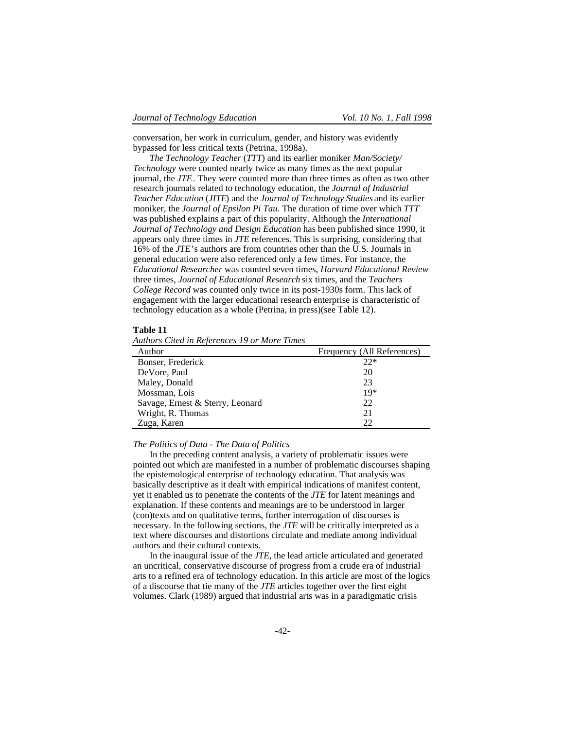conversation, her work in curriculum, gender, and history was evidently bypassed for less critical texts (Petrina, 1998a).

*The Technology Teacher* (*TTT*) and its earlier moniker *Man/Society/ Technology* were counted nearly twice as many times as the next popular journal, the *JTE*. They were counted more than three times as often as two other research journals related to technology education, the *Journal of Industrial Teacher Education* (*JITE*) and the *Journal of Technology Studies* and its earlier moniker, the *Journal of Epsilon Pi Tau*. The duration of time over which *TTT* was published explains a part of this popularity. Although the *International Journal of Technology and Design Education* has been published since 1990, it appears only three times in *JTE* references. This is surprising, considering that 16% of the *JTE*'s authors are from countries other than the U.S. Journals in general education were also referenced only a few times. For instance, the *Educational Researcher* was counted seven times, *Harvard Educational Review* three times, *Journal of Educational Research* six times, and the *Teachers College Record* was counted only twice in its post-1930s form. This lack of engagement with the larger educational research enterprise is characteristic of technology education as a whole (Petrina, in press)(see Table 12).

### **Table 11**

|  |  |  | <b>Authors Cited in References 19 or More Times</b> |  |  |  |  |
|--|--|--|-----------------------------------------------------|--|--|--|--|
|--|--|--|-----------------------------------------------------|--|--|--|--|

| Author                           | Frequency (All References) |
|----------------------------------|----------------------------|
| Bonser, Frederick                | $22*$                      |
| De Vore, Paul                    | 20                         |
| Maley, Donald                    | 23                         |
| Mossman, Lois                    | $19*$                      |
| Savage, Ernest & Sterry, Leonard | 22                         |
| Wright, R. Thomas                | 21                         |
| Zuga, Karen                      | 22                         |

#### *The Politics of Data - The Data of Politics*

In the preceding content analysis, a variety of problematic issues were pointed out which are manifested in a number of problematic discourses shaping the epistemological enterprise of technology education. That analysis was basically descriptive as it dealt with empirical indications of manifest content, yet it enabled us to penetrate the contents of the *JTE* for latent meanings and explanation. If these contents and meanings are to be understood in larger (con)texts and on qualitative terms, further interrogation of discourses is necessary. In the following sections, the *JTE* will be critically interpreted as a text where discourses and distortions circulate and mediate among individual authors and their cultural contexts.

In the inaugural issue of the *JTE*, the lead article articulated and generated an uncritical, conservative discourse of progress from a crude era of industrial arts to a refined era of technology education. In this article are most of the logics of a discourse that tie many of the *JTE* articles together over the first eight volumes. Clark (1989) argued that industrial arts was in a paradigmatic crisis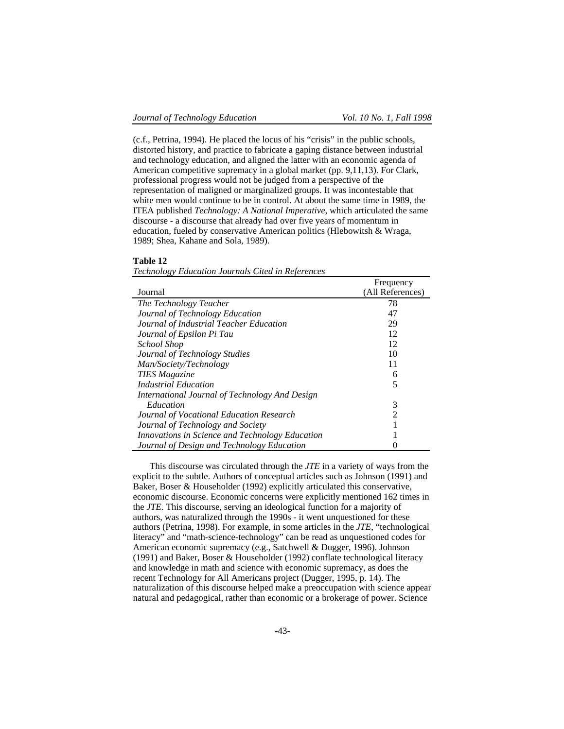(c.f., Petrina, 1994). He placed the locus of his "crisis" in the public schools, distorted history, and practice to fabricate a gaping distance between industrial and technology education, and aligned the latter with an economic agenda of American competitive supremacy in a global market (pp. 9,11,13). For Clark, professional progress would not be judged from a perspective of the representation of maligned or marginalized groups. It was incontestable that white men would continue to be in control. At about the same time in 1989, the ITEA published *Technology: A National Imperative*, which articulated the same discourse - a discourse that already had over five years of momentum in education, fueled by conservative American politics (Hlebowitsh & Wraga, 1989; Shea, Kahane and Sola, 1989).

# **Table 12**

|                                                 | Frequency        |
|-------------------------------------------------|------------------|
| Journal                                         | (All References) |
| The Technology Teacher                          | 78               |
| Journal of Technology Education                 | 47               |
| Journal of Industrial Teacher Education         | 29               |
| Journal of Epsilon Pi Tau                       | 12               |
| School Shop                                     | 12               |
| Journal of Technology Studies                   | 10               |
| Man/Society/Technology                          | 11               |
| <b>TIES</b> Magazine                            | 6                |
| <b>Industrial Education</b>                     | 5                |
| International Journal of Technology And Design  |                  |
| Education                                       | 3                |
| Journal of Vocational Education Research        | 2                |
| Journal of Technology and Society               |                  |
| Innovations in Science and Technology Education |                  |
| Journal of Design and Technology Education      |                  |

*Technology Education Journals Cited in References*

This discourse was circulated through the *JTE* in a variety of ways from the explicit to the subtle. Authors of conceptual articles such as Johnson (1991) and Baker, Boser & Householder (1992) explicitly articulated this conservative, economic discourse. Economic concerns were explicitly mentioned 162 times in the *JTE*. This discourse, serving an ideological function for a majority of authors, was naturalized through the 1990s - it went unquestioned for these authors (Petrina, 1998). For example, in some articles in the *JTE*, "technological literacy" and "math-science-technology" can be read as unquestioned codes for American economic supremacy (e.g., Satchwell & Dugger, 1996). Johnson (1991) and Baker, Boser & Householder (1992) conflate technological literacy and knowledge in math and science with economic supremacy, as does the recent Technology for All Americans project (Dugger, 1995, p. 14). The naturalization of this discourse helped make a preoccupation with science appear natural and pedagogical, rather than economic or a brokerage of power. Science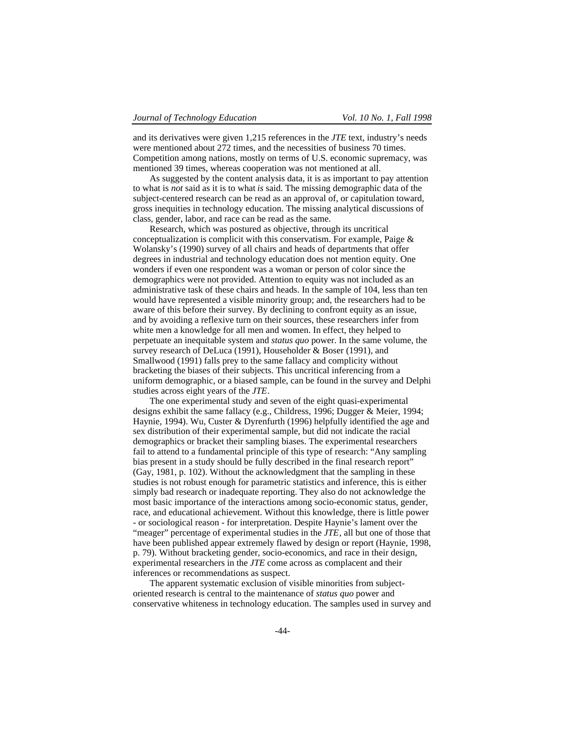and its derivatives were given 1,215 references in the *JTE* text, industry's needs were mentioned about 272 times, and the necessities of business 70 times. Competition among nations, mostly on terms of U.S. economic supremacy, was mentioned 39 times, whereas cooperation was not mentioned at all.

As suggested by the content analysis data, it is as important to pay attention to what is *not* said as it is to what *is* said. The missing demographic data of the subject-centered research can be read as an approval of, or capitulation toward, gross inequities in technology education. The missing analytical discussions of class, gender, labor, and race can be read as the same.

Research, which was postured as objective, through its uncritical conceptualization is complicit with this conservatism. For example, Paige  $\&$ Wolansky's (1990) survey of all chairs and heads of departments that offer degrees in industrial and technology education does not mention equity. One wonders if even one respondent was a woman or person of color since the demographics were not provided. Attention to equity was not included as an administrative task of these chairs and heads. In the sample of 104, less than ten would have represented a visible minority group; and, the researchers had to be aware of this before their survey. By declining to confront equity as an issue, and by avoiding a reflexive turn on their sources, these researchers infer from white men a knowledge for all men and women. In effect, they helped to perpetuate an inequitable system and *status quo* power. In the same volume, the survey research of DeLuca (1991), Householder & Boser (1991), and Smallwood (1991) falls prey to the same fallacy and complicity without bracketing the biases of their subjects. This uncritical inferencing from a uniform demographic, or a biased sample, can be found in the survey and Delphi studies across eight years of the *JTE*.

The one experimental study and seven of the eight quasi-experimental designs exhibit the same fallacy (e.g., Childress, 1996; Dugger & Meier, 1994; Haynie, 1994). Wu, Custer & Dyrenfurth (1996) helpfully identified the age and sex distribution of their experimental sample, but did not indicate the racial demographics or bracket their sampling biases. The experimental researchers fail to attend to a fundamental principle of this type of research: "Any sampling bias present in a study should be fully described in the final research report" (Gay, 1981, p. 102). Without the acknowledgment that the sampling in these studies is not robust enough for parametric statistics and inference, this is either simply bad research or inadequate reporting. They also do not acknowledge the most basic importance of the interactions among socio-economic status, gender, race, and educational achievement. Without this knowledge, there is little power - or sociological reason - for interpretation. Despite Haynie's lament over the "meager" percentage of experimental studies in the *JTE*, all but one of those that have been published appear extremely flawed by design or report (Haynie, 1998, p. 79). Without bracketing gender, socio-economics, and race in their design, experimental researchers in the *JTE* come across as complacent and their inferences or recommendations as suspect.

The apparent systematic exclusion of visible minorities from subjectoriented research is central to the maintenance of *status quo* power and conservative whiteness in technology education. The samples used in survey and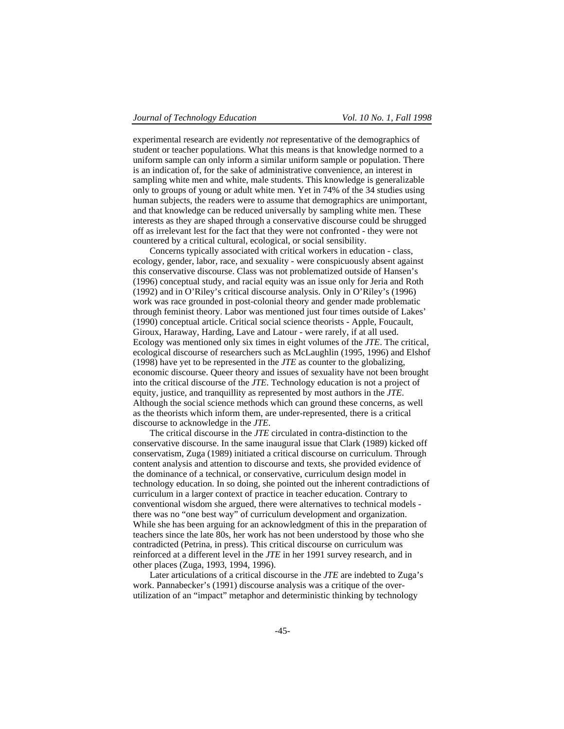experimental research are evidently *not* representative of the demographics of student or teacher populations. What this means is that knowledge normed to a uniform sample can only inform a similar uniform sample or population. There is an indication of, for the sake of administrative convenience, an interest in sampling white men and white, male students. This knowledge is generalizable only to groups of young or adult white men. Yet in 74% of the 34 studies using human subjects, the readers were to assume that demographics are unimportant, and that knowledge can be reduced universally by sampling white men. These interests as they are shaped through a conservative discourse could be shrugged off as irrelevant lest for the fact that they were not confronted - they were not countered by a critical cultural, ecological, or social sensibility.

Concerns typically associated with critical workers in education - class, ecology, gender, labor, race, and sexuality - were conspicuously absent against this conservative discourse. Class was not problematized outside of Hansen's (1996) conceptual study, and racial equity was an issue only for Jeria and Roth (1992) and in O'Riley's critical discourse analysis. Only in O'Riley's (1996) work was race grounded in post-colonial theory and gender made problematic through feminist theory. Labor was mentioned just four times outside of Lakes' (1990) conceptual article. Critical social science theorists - Apple, Foucault, Giroux, Haraway, Harding, Lave and Latour - were rarely, if at all used. Ecology was mentioned only six times in eight volumes of the *JTE*. The critical, ecological discourse of researchers such as McLaughlin (1995, 1996) and Elshof (1998) have yet to be represented in the *JTE* as counter to the globalizing, economic discourse. Queer theory and issues of sexuality have not been brought into the critical discourse of the *JTE*. Technology education is not a project of equity, justice, and tranquillity as represented by most authors in the *JTE*. Although the social science methods which can ground these concerns, as well as the theorists which inform them, are under-represented, there is a critical discourse to acknowledge in the *JTE*.

The critical discourse in the *JTE* circulated in contra-distinction to the conservative discourse. In the same inaugural issue that Clark (1989) kicked off conservatism, Zuga (1989) initiated a critical discourse on curriculum. Through content analysis and attention to discourse and texts, she provided evidence of the dominance of a technical, or conservative, curriculum design model in technology education. In so doing, she pointed out the inherent contradictions of curriculum in a larger context of practice in teacher education. Contrary to conventional wisdom she argued, there were alternatives to technical models there was no "one best way" of curriculum development and organization. While she has been arguing for an acknowledgment of this in the preparation of teachers since the late 80s, her work has not been understood by those who she contradicted (Petrina, in press). This critical discourse on curriculum was reinforced at a different level in the *JTE* in her 1991 survey research, and in other places (Zuga, 1993, 1994, 1996).

Later articulations of a critical discourse in the *JTE* are indebted to Zuga's work. Pannabecker's (1991) discourse analysis was a critique of the overutilization of an "impact" metaphor and deterministic thinking by technology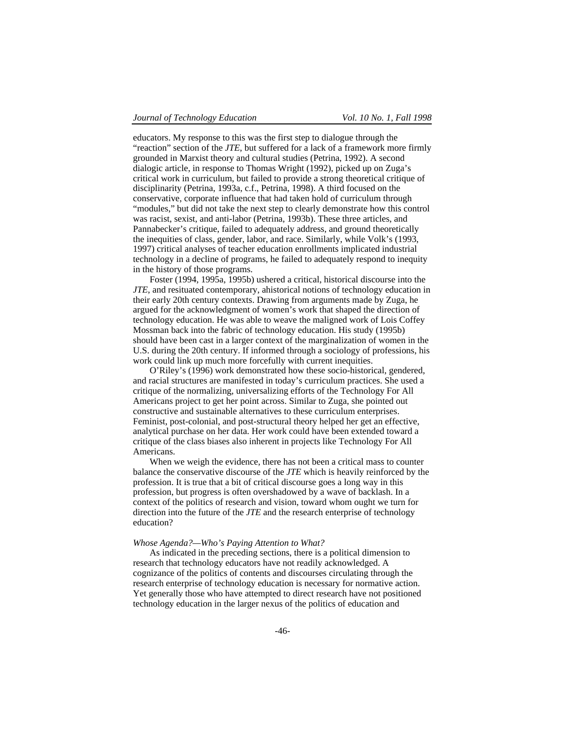educators. My response to this was the first step to dialogue through the "reaction" section of the *JTE*, but suffered for a lack of a framework more firmly grounded in Marxist theory and cultural studies (Petrina, 1992). A second dialogic article, in response to Thomas Wright (1992), picked up on Zuga's critical work in curriculum, but failed to provide a strong theoretical critique of disciplinarity (Petrina, 1993a, c.f., Petrina, 1998). A third focused on the conservative, corporate influence that had taken hold of curriculum through "modules," but did not take the next step to clearly demonstrate how this control was racist, sexist, and anti-labor (Petrina, 1993b). These three articles, and Pannabecker's critique, failed to adequately address, and ground theoretically the inequities of class, gender, labor, and race. Similarly, while Volk's (1993, 1997) critical analyses of teacher education enrollments implicated industrial technology in a decline of programs, he failed to adequately respond to inequity in the history of those programs.

Foster (1994, 1995a, 1995b) ushered a critical, historical discourse into the *JTE*, and resituated contemporary, ahistorical notions of technology education in their early 20th century contexts. Drawing from arguments made by Zuga, he argued for the acknowledgment of women's work that shaped the direction of technology education. He was able to weave the maligned work of Lois Coffey Mossman back into the fabric of technology education. His study (1995b) should have been cast in a larger context of the marginalization of women in the U.S. during the 20th century. If informed through a sociology of professions, his work could link up much more forcefully with current inequities.

O'Riley's (1996) work demonstrated how these socio-historical, gendered, and racial structures are manifested in today's curriculum practices. She used a critique of the normalizing, universalizing efforts of the Technology For All Americans project to get her point across. Similar to Zuga, she pointed out constructive and sustainable alternatives to these curriculum enterprises. Feminist, post-colonial, and post-structural theory helped her get an effective, analytical purchase on her data. Her work could have been extended toward a critique of the class biases also inherent in projects like Technology For All Americans.

When we weigh the evidence, there has not been a critical mass to counter balance the conservative discourse of the *JTE* which is heavily reinforced by the profession. It is true that a bit of critical discourse goes a long way in this profession, but progress is often overshadowed by a wave of backlash. In a context of the politics of research and vision, toward whom ought we turn for direction into the future of the *JTE* and the research enterprise of technology education?

#### *Whose Agenda?—Who's Paying Attention to What?*

As indicated in the preceding sections, there is a political dimension to research that technology educators have not readily acknowledged. A cognizance of the politics of contents and discourses circulating through the research enterprise of technology education is necessary for normative action. Yet generally those who have attempted to direct research have not positioned technology education in the larger nexus of the politics of education and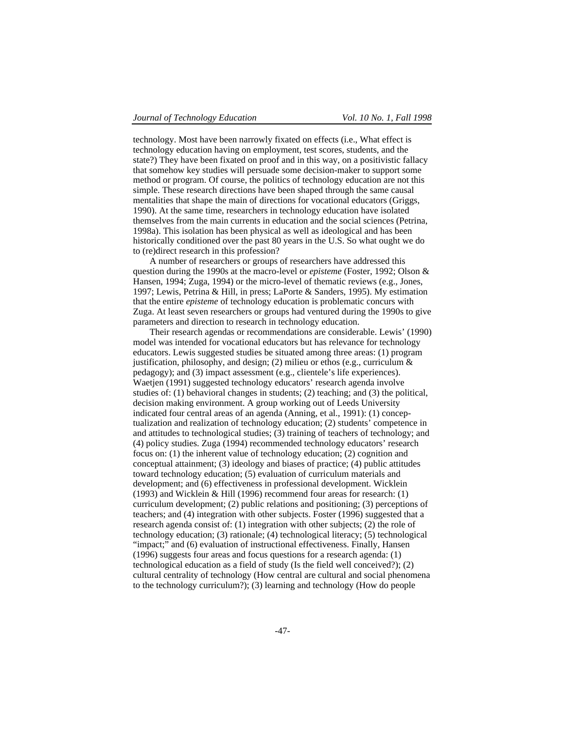technology. Most have been narrowly fixated on effects (i.e., What effect is technology education having on employment, test scores, students, and the state?) They have been fixated on proof and in this way, on a positivistic fallacy that somehow key studies will persuade some decision-maker to support some method or program. Of course, the politics of technology education are not this simple. These research directions have been shaped through the same causal mentalities that shape the main of directions for vocational educators (Griggs, 1990). At the same time, researchers in technology education have isolated themselves from the main currents in education and the social sciences (Petrina, 1998a). This isolation has been physical as well as ideological and has been historically conditioned over the past 80 years in the U.S. So what ought we do to (re)direct research in this profession?

A number of researchers or groups of researchers have addressed this question during the 1990s at the macro-level or *episteme* (Foster, 1992; Olson & Hansen, 1994; Zuga, 1994) or the micro-level of thematic reviews (e.g., Jones, 1997; Lewis, Petrina & Hill, in press; LaPorte & Sanders, 1995). My estimation that the entire *episteme* of technology education is problematic concurs with Zuga. At least seven researchers or groups had ventured during the 1990s to give parameters and direction to research in technology education.

Their research agendas or recommendations are considerable. Lewis' (1990) model was intended for vocational educators but has relevance for technology educators. Lewis suggested studies be situated among three areas: (1) program justification, philosophy, and design; (2) milieu or ethos (e.g., curriculum  $\&$ pedagogy); and (3) impact assessment (e.g., clientele's life experiences). Waetjen (1991) suggested technology educators' research agenda involve studies of: (1) behavioral changes in students; (2) teaching; and (3) the political, decision making environment. A group working out of Leeds University indicated four central areas of an agenda (Anning, et al., 1991): (1) conceptualization and realization of technology education; (2) students' competence in and attitudes to technological studies; (3) training of teachers of technology; and (4) policy studies. Zuga (1994) recommended technology educators' research focus on: (1) the inherent value of technology education; (2) cognition and conceptual attainment; (3) ideology and biases of practice; (4) public attitudes toward technology education; (5) evaluation of curriculum materials and development; and (6) effectiveness in professional development. Wicklein (1993) and Wicklein & Hill (1996) recommend four areas for research: (1) curriculum development; (2) public relations and positioning; (3) perceptions of teachers; and (4) integration with other subjects. Foster (1996) suggested that a research agenda consist of: (1) integration with other subjects; (2) the role of technology education; (3) rationale; (4) technological literacy; (5) technological "impact;" and (6) evaluation of instructional effectiveness. Finally, Hansen (1996) suggests four areas and focus questions for a research agenda: (1) technological education as a field of study (Is the field well conceived?); (2) cultural centrality of technology (How central are cultural and social phenomena to the technology curriculum?); (3) learning and technology (How do people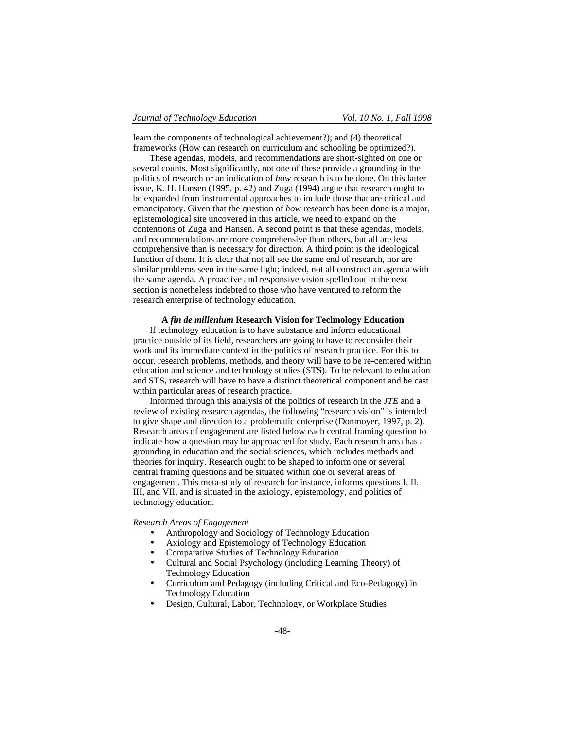learn the components of technological achievement?); and (4) theoretical frameworks (How can research on curriculum and schooling be optimized?).

These agendas, models, and recommendations are short-sighted on one or several counts. Most significantly, not one of these provide a grounding in the politics of research or an indication of *how* research is to be done. On this latter issue, K. H. Hansen (1995, p. 42) and Zuga (1994) argue that research ought to be expanded from instrumental approaches to include those that are critical and emancipatory. Given that the question of *how* research has been done is a major, epistemological site uncovered in this article, we need to expand on the contentions of Zuga and Hansen. A second point is that these agendas, models, and recommendations are more comprehensive than others, but all are less comprehensive than is necessary for direction. A third point is the ideological function of them. It is clear that not all see the same end of research, nor are similar problems seen in the same light; indeed, not all construct an agenda with the same agenda. A proactive and responsive vision spelled out in the next section is nonetheless indebted to those who have ventured to reform the research enterprise of technology education.

# **A** *fin de millenium* **Research Vision for Technology Education**

If technology education is to have substance and inform educational practice outside of its field, researchers are going to have to reconsider their work and its immediate context in the politics of research practice. For this to occur, research problems, methods, and theory will have to be re-centered within education and science and technology studies (STS). To be relevant to education and STS, research will have to have a distinct theoretical component and be cast within particular areas of research practice.

Informed through this analysis of the politics of research in the *JTE* and a review of existing research agendas, the following "research vision" is intended to give shape and direction to a problematic enterprise (Donmoyer, 1997, p. 2). Research areas of engagement are listed below each central framing question to indicate how a question may be approached for study. Each research area has a grounding in education and the social sciences, which includes methods and theories for inquiry. Research ought to be shaped to inform one or several central framing questions and be situated within one or several areas of engagement. This meta-study of research for instance, informs questions I, II, III, and VII, and is situated in the axiology, epistemology, and politics of technology education.

# *Research Areas of Engagement*

- Anthropology and Sociology of Technology Education
- Axiology and Epistemology of Technology Education
- Comparative Studies of Technology Education
- Cultural and Social Psychology (including Learning Theory) of Technology Education
- Curriculum and Pedagogy (including Critical and Eco-Pedagogy) in Technology Education
- Design, Cultural, Labor, Technology, or Workplace Studies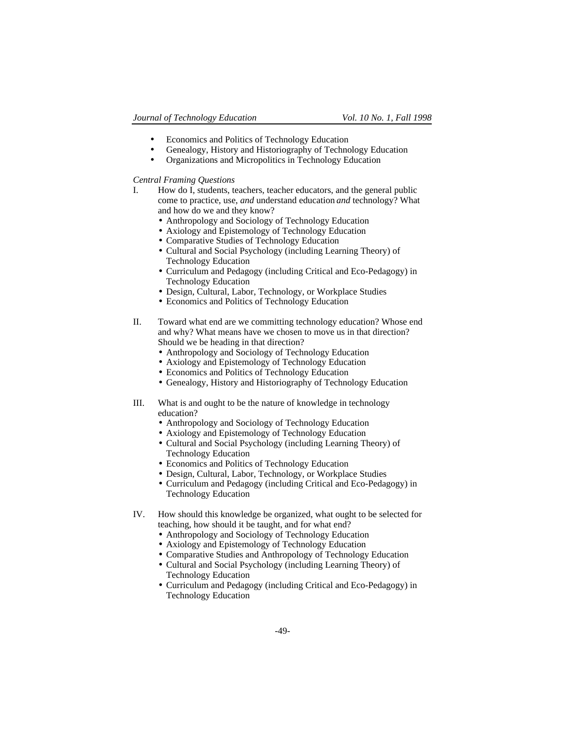- Economics and Politics of Technology Education
- Genealogy, History and Historiography of Technology Education
- Organizations and Micropolitics in Technology Education

# *Central Framing Questions*

- I. How do I, students, teachers, teacher educators, and the general public come to practice, use, *and* understand education *and* technology? What and how do we and they know?
	- Anthropology and Sociology of Technology Education
	- Axiology and Epistemology of Technology Education
	- Comparative Studies of Technology Education
	- Cultural and Social Psychology (including Learning Theory) of Technology Education
	- Curriculum and Pedagogy (including Critical and Eco-Pedagogy) in Technology Education
	- Design, Cultural, Labor, Technology, or Workplace Studies
	- Economics and Politics of Technology Education
- II. Toward what end are we committing technology education? Whose end and why? What means have we chosen to move us in that direction? Should we be heading in that direction?
	- Anthropology and Sociology of Technology Education
	- Axiology and Epistemology of Technology Education
	- Economics and Politics of Technology Education
	- Genealogy, History and Historiography of Technology Education
- III. What is and ought to be the nature of knowledge in technology education?
	- Anthropology and Sociology of Technology Education
	- Axiology and Epistemology of Technology Education
	- Cultural and Social Psychology (including Learning Theory) of Technology Education
	- Economics and Politics of Technology Education
	- Design, Cultural, Labor, Technology, or Workplace Studies
	- Curriculum and Pedagogy (including Critical and Eco-Pedagogy) in Technology Education
- IV. How should this knowledge be organized, what ought to be selected for teaching, how should it be taught, and for what end?
	- Anthropology and Sociology of Technology Education
	- Axiology and Epistemology of Technology Education
	- Comparative Studies and Anthropology of Technology Education
	- Cultural and Social Psychology (including Learning Theory) of Technology Education
	- Curriculum and Pedagogy (including Critical and Eco-Pedagogy) in Technology Education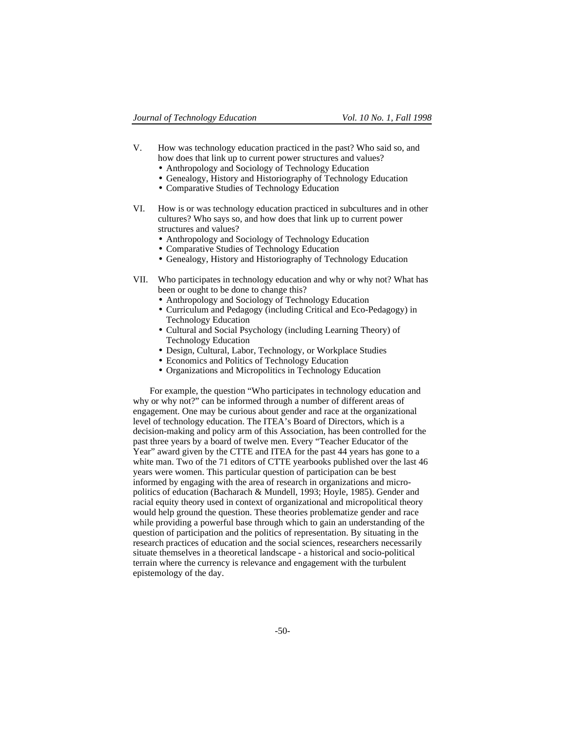- V. How was technology education practiced in the past? Who said so, and how does that link up to current power structures and values?
	- Anthropology and Sociology of Technology Education
	- Genealogy, History and Historiography of Technology Education
	- Comparative Studies of Technology Education
- VI. How is or was technology education practiced in subcultures and in other cultures? Who says so, and how does that link up to current power structures and values?
	- Anthropology and Sociology of Technology Education
	- Comparative Studies of Technology Education
	- Genealogy, History and Historiography of Technology Education
- VII. Who participates in technology education and why or why not? What has been or ought to be done to change this?
	- Anthropology and Sociology of Technology Education
	- Curriculum and Pedagogy (including Critical and Eco-Pedagogy) in Technology Education
	- Cultural and Social Psychology (including Learning Theory) of Technology Education
	- Design, Cultural, Labor, Technology, or Workplace Studies
	- Economics and Politics of Technology Education
	- Organizations and Micropolitics in Technology Education

For example, the question "Who participates in technology education and why or why not?" can be informed through a number of different areas of engagement. One may be curious about gender and race at the organizational level of technology education. The ITEA's Board of Directors, which is a decision-making and policy arm of this Association, has been controlled for the past three years by a board of twelve men. Every "Teacher Educator of the Year" award given by the CTTE and ITEA for the past 44 years has gone to a white man. Two of the 71 editors of CTTE yearbooks published over the last 46 years were women. This particular question of participation can be best informed by engaging with the area of research in organizations and micropolitics of education (Bacharach & Mundell, 1993; Hoyle, 1985). Gender and racial equity theory used in context of organizational and micropolitical theory would help ground the question. These theories problematize gender and race while providing a powerful base through which to gain an understanding of the question of participation and the politics of representation. By situating in the research practices of education and the social sciences, researchers necessarily situate themselves in a theoretical landscape - a historical and socio-political terrain where the currency is relevance and engagement with the turbulent epistemology of the day.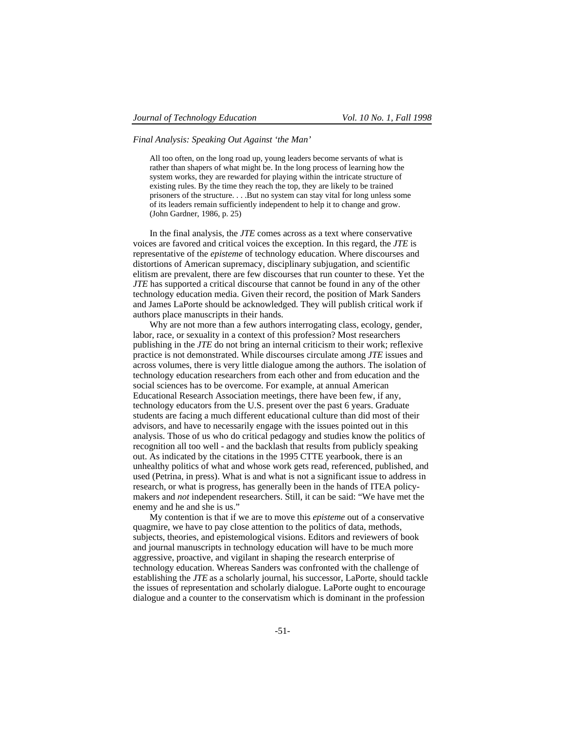*Final Analysis: Speaking Out Against 'the Man'*

All too often, on the long road up, young leaders become servants of what is rather than shapers of what might be. In the long process of learning how the system works, they are rewarded for playing within the intricate structure of existing rules. By the time they reach the top, they are likely to be trained prisoners of the structure. . . .But no system can stay vital for long unless some of its leaders remain sufficiently independent to help it to change and grow. (John Gardner, 1986, p. 25)

In the final analysis, the *JTE* comes across as a text where conservative voices are favored and critical voices the exception. In this regard, the *JTE* is representative of the *episteme* of technology education. Where discourses and distortions of American supremacy, disciplinary subjugation, and scientific elitism are prevalent, there are few discourses that run counter to these. Yet the *JTE* has supported a critical discourse that cannot be found in any of the other technology education media. Given their record, the position of Mark Sanders and James LaPorte should be acknowledged. They will publish critical work if authors place manuscripts in their hands.

Why are not more than a few authors interrogating class, ecology, gender, labor, race, or sexuality in a context of this profession? Most researchers publishing in the *JTE* do not bring an internal criticism to their work; reflexive practice is not demonstrated. While discourses circulate among *JTE* issues and across volumes, there is very little dialogue among the authors. The isolation of technology education researchers from each other and from education and the social sciences has to be overcome. For example, at annual American Educational Research Association meetings, there have been few, if any, technology educators from the U.S. present over the past 6 years. Graduate students are facing a much different educational culture than did most of their advisors, and have to necessarily engage with the issues pointed out in this analysis. Those of us who do critical pedagogy and studies know the politics of recognition all too well - and the backlash that results from publicly speaking out. As indicated by the citations in the 1995 CTTE yearbook, there is an unhealthy politics of what and whose work gets read, referenced, published, and used (Petrina, in press). What is and what is not a significant issue to address in research, or what is progress, has generally been in the hands of ITEA policymakers and *not* independent researchers. Still, it can be said: "We have met the enemy and he and she is us."

My contention is that if we are to move this *episteme* out of a conservative quagmire, we have to pay close attention to the politics of data, methods, subjects, theories, and epistemological visions. Editors and reviewers of book and journal manuscripts in technology education will have to be much more aggressive, proactive, and vigilant in shaping the research enterprise of technology education. Whereas Sanders was confronted with the challenge of establishing the *JTE* as a scholarly journal, his successor, LaPorte, should tackle the issues of representation and scholarly dialogue. LaPorte ought to encourage dialogue and a counter to the conservatism which is dominant in the profession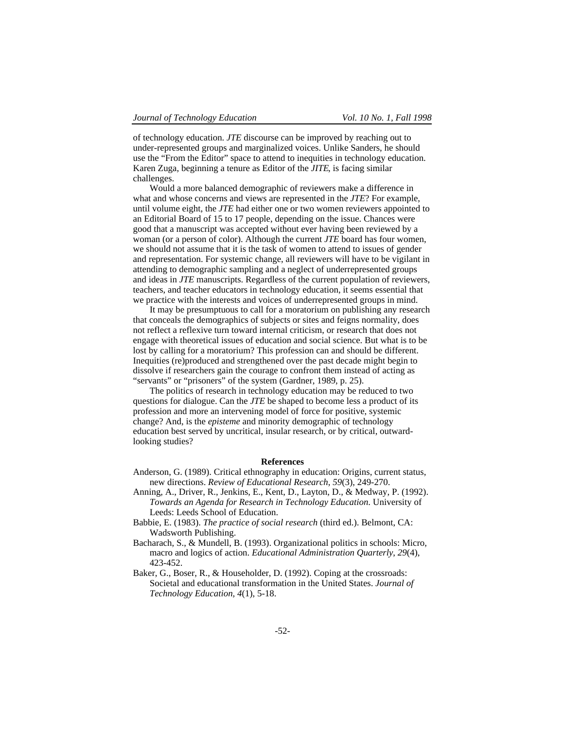of technology education. *JTE* discourse can be improved by reaching out to under-represented groups and marginalized voices. Unlike Sanders, he should use the "From the Editor" space to attend to inequities in technology education. Karen Zuga, beginning a tenure as Editor of the *JITE*, is facing similar challenges.

Would a more balanced demographic of reviewers make a difference in what and whose concerns and views are represented in the *JTE*? For example, until volume eight, the *JTE* had either one or two women reviewers appointed to an Editorial Board of 15 to 17 people, depending on the issue. Chances were good that a manuscript was accepted without ever having been reviewed by a woman (or a person of color). Although the current *JTE* board has four women, we should not assume that it is the task of women to attend to issues of gender and representation. For systemic change, all reviewers will have to be vigilant in attending to demographic sampling and a neglect of underrepresented groups and ideas in *JTE* manuscripts. Regardless of the current population of reviewers, teachers, and teacher educators in technology education, it seems essential that we practice with the interests and voices of underrepresented groups in mind.

It may be presumptuous to call for a moratorium on publishing any research that conceals the demographics of subjects or sites and feigns normality, does not reflect a reflexive turn toward internal criticism, or research that does not engage with theoretical issues of education and social science. But what is to be lost by calling for a moratorium? This profession can and should be different. Inequities (re)produced and strengthened over the past decade might begin to dissolve if researchers gain the courage to confront them instead of acting as "servants" or "prisoners" of the system (Gardner, 1989, p. 25).

The politics of research in technology education may be reduced to two questions for dialogue. Can the *JTE* be shaped to become less a product of its profession and more an intervening model of force for positive, systemic change? And, is the *episteme* and minority demographic of technology education best served by uncritical, insular research, or by critical, outwardlooking studies?

### **References**

- Anderson, G. (1989). Critical ethnography in education: Origins, current status, new directions. *Review of Educational Research*, *59*(3), 249-270.
- Anning, A., Driver, R., Jenkins, E., Kent, D., Layton, D., & Medway, P. (1992). *Towards an Agenda for Research in Technology Education*. University of Leeds: Leeds School of Education.
- Babbie, E. (1983). *The practice of social research* (third ed.). Belmont, CA: Wadsworth Publishing.
- Bacharach, S., & Mundell, B. (1993). Organizational politics in schools: Micro, macro and logics of action. *Educational Administration Quarterly*, *29*(4), 423-452.
- Baker, G., Boser, R., & Householder, D. (1992). Coping at the crossroads: Societal and educational transformation in the United States. *Journal of Technology Education, 4*(1), 5-18.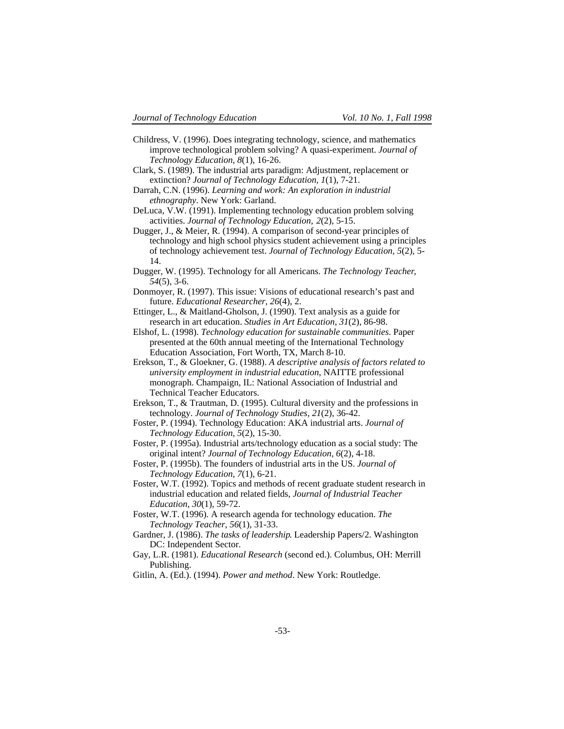- Childress, V. (1996). Does integrating technology, science, and mathematics improve technological problem solving? A quasi-experiment. *Journal of Technology Education, 8*(1), 16-26.
- Clark, S. (1989). The industrial arts paradigm: Adjustment, replacement or extinction? *Journal of Technology Education, 1*(1), 7-21.
- Darrah, C.N. (1996). *Learning and work: An exploration in industrial ethnography*. New York: Garland.
- DeLuca, V.W. (1991). Implementing technology education problem solving activities. *Journal of Technology Education, 2*(2), 5-15.
- Dugger, J., & Meier, R. (1994). A comparison of second-year principles of technology and high school physics student achievement using a principles of technology achievement test. *Journal of Technology Education, 5*(2), 5- 14.
- Dugger, W. (1995). Technology for all Americans. *The Technology Teacher*, *54*(5), 3-6.
- Donmoyer, R. (1997). This issue: Visions of educational research's past and future. *Educational Researcher*, *26*(4), 2.
- Ettinger, L., & Maitland-Gholson, J. (1990). Text analysis as a guide for research in art education. *Studies in Art Education*, *31*(2), 86-98.
- Elshof, L. (1998). *Technology education for sustainable communities*. Paper presented at the 60th annual meeting of the International Technology Education Association, Fort Worth, TX, March 8-10.
- Erekson, T., & Gloekner, G. (1988). *A descriptive analysis of factors related to university employment in industrial education*, NAITTE professional monograph. Champaign, IL: National Association of Industrial and Technical Teacher Educators.
- Erekson, T., & Trautman, D. (1995). Cultural diversity and the professions in technology. *Journal of Technology Studies*, *21*(2), 36-42.
- Foster, P. (1994). Technology Education: AKA industrial arts. *Journal of Technology Education, 5*(2), 15-30.
- Foster, P. (1995a). Industrial arts/technology education as a social study: The original intent? *Journal of Technology Education, 6*(2), 4-18.
- Foster, P. (1995b). The founders of industrial arts in the US. *Journal of Technology Education, 7*(1), 6-21.
- Foster, W.T. (1992). Topics and methods of recent graduate student research in industrial education and related fields, *Journal of Industrial Teacher Education*, *30*(1), 59-72.
- Foster, W.T. (1996). A research agenda for technology education. *The Technology Teacher*, *56*(1), 31-33.
- Gardner, J. (1986). *The tasks of leadership*. Leadership Papers/2. Washington DC: Independent Sector.
- Gay, L.R. (1981). *Educational Research* (second ed.). Columbus, OH: Merrill Publishing.
- Gitlin, A. (Ed.). (1994). *Power and method*. New York: Routledge.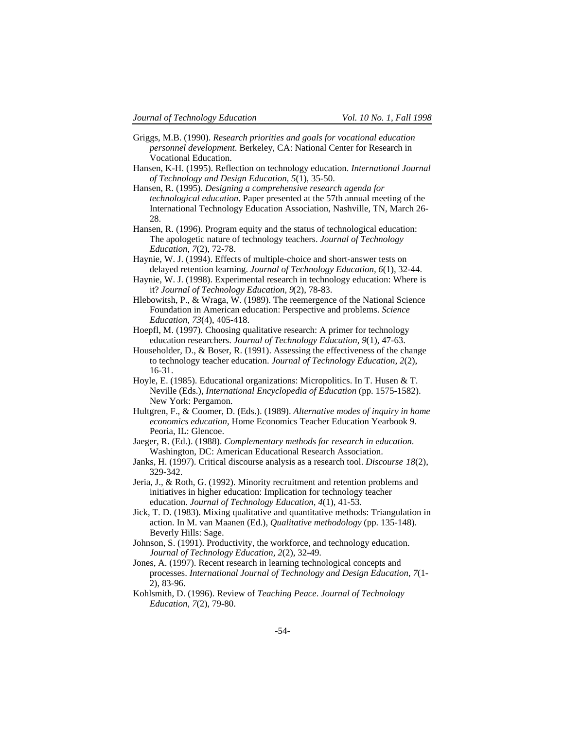- Griggs, M.B. (1990). *Research priorities and goals for vocational education personnel development*. Berkeley, CA: National Center for Research in Vocational Education.
- Hansen, K-H. (1995). Reflection on technology education. *International Journal of Technology and Design Education*, *5*(1), 35-50.
- Hansen, R. (1995). *Designing a comprehensive research agenda for technological education*. Paper presented at the 57th annual meeting of the International Technology Education Association, Nashville, TN, March 26- 28.
- Hansen, R. (1996). Program equity and the status of technological education: The apologetic nature of technology teachers. *Journal of Technology Education, 7*(2), 72-78.
- Haynie, W. J. (1994). Effects of multiple-choice and short-answer tests on delayed retention learning. *Journal of Technology Education, 6*(1), 32-44.
- Haynie, W. J. (1998). Experimental research in technology education: Where is it? *Journal of Technology Education, 9*(2), 78-83.
- Hlebowitsh, P., & Wraga, W. (1989). The reemergence of the National Science Foundation in American education: Perspective and problems. *Science Education*, *73*(4), 405-418.
- Hoepfl, M. (1997). Choosing qualitative research: A primer for technology education researchers. *Journal of Technology Education*, *9*(1), 47-63.
- Householder, D., & Boser, R. (1991). Assessing the effectiveness of the change to technology teacher education. *Journal of Technology Education, 2*(2), 16-31.
- Hoyle, E. (1985). Educational organizations: Micropolitics. In T. Husen & T. Neville (Eds.), *International Encyclopedia of Education* (pp. 1575-1582). New York: Pergamon.
- Hultgren, F., & Coomer, D. (Eds.). (1989). *Alternative modes of inquiry in home economics education*, Home Economics Teacher Education Yearbook 9. Peoria, IL: Glencoe.
- Jaeger, R. (Ed.). (1988). *Complementary methods for research in education*. Washington, DC: American Educational Research Association.
- Janks, H. (1997). Critical discourse analysis as a research tool. *Discourse 18*(2), 329-342.
- Jeria, J., & Roth, G. (1992). Minority recruitment and retention problems and initiatives in higher education: Implication for technology teacher education. *Journal of Technology Education, 4*(1), 41-53.
- Jick, T. D. (1983). Mixing qualitative and quantitative methods: Triangulation in action. In M. van Maanen (Ed.), *Qualitative methodology* (pp. 135-148). Beverly Hills: Sage.
- Johnson, S. (1991). Productivity, the workforce, and technology education. *Journal of Technology Education, 2*(2), 32-49.
- Jones, A. (1997). Recent research in learning technological concepts and processes. *International Journal of Technology and Design Education*, *7*(1- 2), 83-96.
- Kohlsmith, D. (1996). Review of *Teaching Peace*. *Journal of Technology Education, 7*(2), 79-80.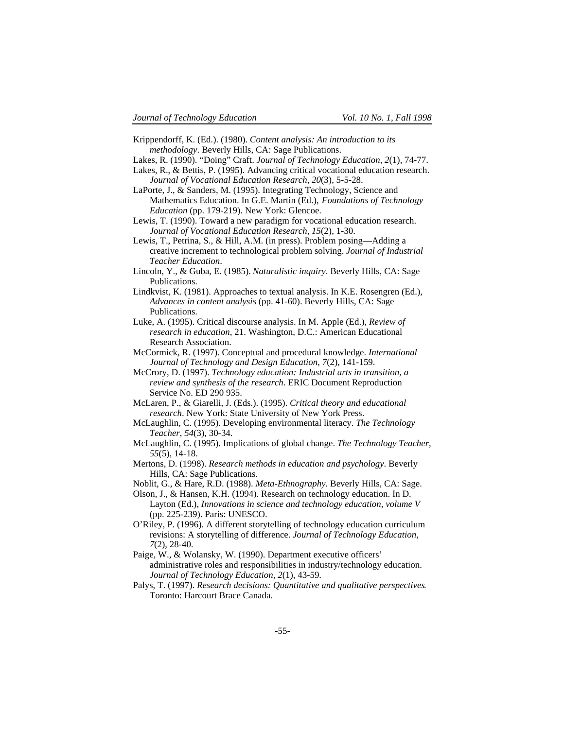- Krippendorff, K. (Ed.). (1980). *Content analysis: An introduction to its methodology*. Beverly Hills, CA: Sage Publications.
- Lakes, R. (1990). "Doing" Craft. *Journal of Technology Education, 2*(1), 74-77.
- Lakes, R., & Bettis, P. (1995). Advancing critical vocational education research. *Journal of Vocational Education Research*, *20*(3), 5-5-28.
- LaPorte, J., & Sanders, M. (1995). Integrating Technology, Science and Mathematics Education. In G.E. Martin (Ed.), *Foundations of Technology Education* (pp. 179-219). New York: Glencoe.
- Lewis, T. (1990). Toward a new paradigm for vocational education research. *Journal of Vocational Education Research*, *15*(2), 1-30.
- Lewis, T., Petrina, S., & Hill, A.M. (in press). Problem posing—Adding a creative increment to technological problem solving. *Journal of Industrial Teacher Education*.
- Lincoln, Y., & Guba, E. (1985). *Naturalistic inquiry*. Beverly Hills, CA: Sage Publications.
- Lindkvist, K. (1981). Approaches to textual analysis. In K.E. Rosengren (Ed.), *Advances in content analysis* (pp. 41-60). Beverly Hills, CA: Sage Publications.
- Luke, A. (1995). Critical discourse analysis. In M. Apple (Ed.), *Review of research in education*, 21. Washington, D.C.: American Educational Research Association.
- McCormick, R. (1997). Conceptual and procedural knowledge. *International Journal of Technology and Design Education*, *7*(2), 141-159.
- McCrory, D. (1997). *Technology education: Industrial arts in transition, a review and synthesis of the research*. ERIC Document Reproduction Service No. ED 290 935.
- McLaren, P., & Giarelli, J. (Eds.). (1995). *Critical theory and educational research*. New York: State University of New York Press.
- McLaughlin, C. (1995). Developing environmental literacy. *The Technology Teacher*, *54*(3), 30-34.
- McLaughlin, C. (1995). Implications of global change. *The Technology Teacher*, *55*(5), 14-18.
- Mertons, D. (1998). *Research methods in education and psychology*. Beverly Hills, CA: Sage Publications.
- Noblit, G., & Hare, R.D. (1988). *Meta-Ethnography*. Beverly Hills, CA: Sage.
- Olson, J., & Hansen, K.H. (1994). Research on technology education. In D. Layton (Ed.), *Innovations in science and technology education, volume V* (pp. 225-239). Paris: UNESCO.
- O'Riley, P. (1996). A different storytelling of technology education curriculum revisions: A storytelling of difference. *Journal of Technology Education, 7*(2), 28-40.
- Paige, W., & Wolansky, W. (1990). Department executive officers' administrative roles and responsibilities in industry/technology education. *Journal of Technology Education, 2*(1), 43-59.
- Palys, T. (1997). *Research decisions: Quantitative and qualitative perspectives*. Toronto: Harcourt Brace Canada.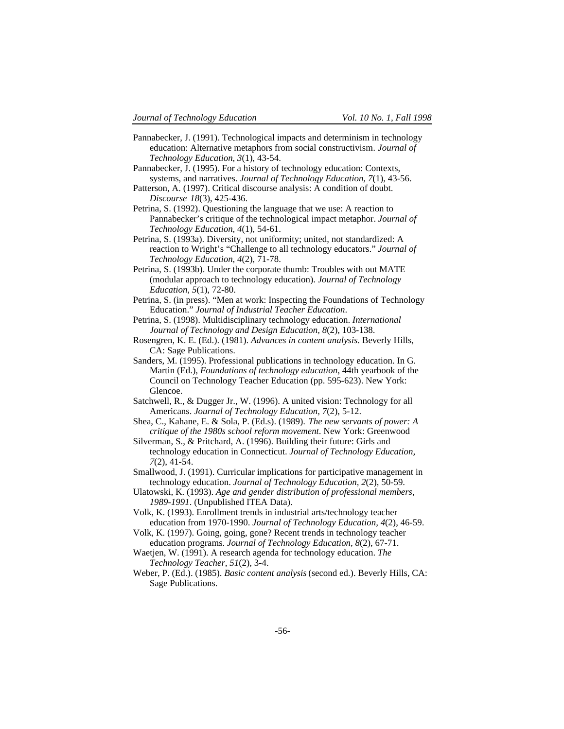- Pannabecker, J. (1991). Technological impacts and determinism in technology education: Alternative metaphors from social constructivism*. Journal of Technology Education, 3*(1), 43-54.
- Pannabecker, J. (1995). For a history of technology education: Contexts, systems, and narratives. *Journal of Technology Education, 7*(1), 43-56.
- Patterson, A. (1997). Critical discourse analysis: A condition of doubt. *Discourse 18*(3), 425-436.
- Petrina, S. (1992). Questioning the language that we use: A reaction to Pannabecker's critique of the technological impact metaphor. *Journal of Technology Education, 4*(1), 54-61.
- Petrina, S. (1993a). Diversity, not uniformity; united, not standardized: A reaction to Wright's "Challenge to all technology educators." *Journal of Technology Education, 4*(2), 71-78.
- Petrina, S. (1993b). Under the corporate thumb: Troubles with out MATE (modular approach to technology education). *Journal of Technology Education, 5*(1), 72-80.
- Petrina, S. (in press). "Men at work: Inspecting the Foundations of Technology Education." *Journal of Industrial Teacher Education*.
- Petrina, S. (1998). Multidisciplinary technology education. *International Journal of Technology and Design Education, 8*(2), 103-138.
- Rosengren, K. E. (Ed.). (1981). *Advances in content analysis*. Beverly Hills, CA: Sage Publications.
- Sanders, M. (1995). Professional publications in technology education. In G. Martin (Ed.), *Foundations of technology education*, 44th yearbook of the Council on Technology Teacher Education (pp. 595-623). New York: Glencoe.
- Satchwell, R., & Dugger Jr., W. (1996). A united vision: Technology for all Americans. *Journal of Technology Education, 7*(2), 5-12.
- Shea, C., Kahane, E. & Sola, P. (Ed.s). (1989). *The new servants of power: A critique of the 1980s school reform movement*. New York: Greenwood
- Silverman, S., & Pritchard, A. (1996). Building their future: Girls and technology education in Connecticut. *Journal of Technology Education, 7*(2), 41-54.
- Smallwood, J. (1991). Curricular implications for participative management in technology education. *Journal of Technology Education, 2*(2), 50-59.
- Ulatowski, K. (1993). *Age and gender distribution of professional members, 1989-1991*. (Unpublished ITEA Data).
- Volk, K. (1993). Enrollment trends in industrial arts/technology teacher education from 1970-1990. *Journal of Technology Education, 4*(2), 46-59.
- Volk, K. (1997). Going, going, gone? Recent trends in technology teacher education programs. *Journal of Technology Education, 8*(2), 67-71.
- Waetjen, W. (1991). A research agenda for technology education. *The Technology Teacher*, *51*(2), 3-4.
- Weber, P. (Ed.). (1985). *Basic content analysis* (second ed.). Beverly Hills, CA: Sage Publications.